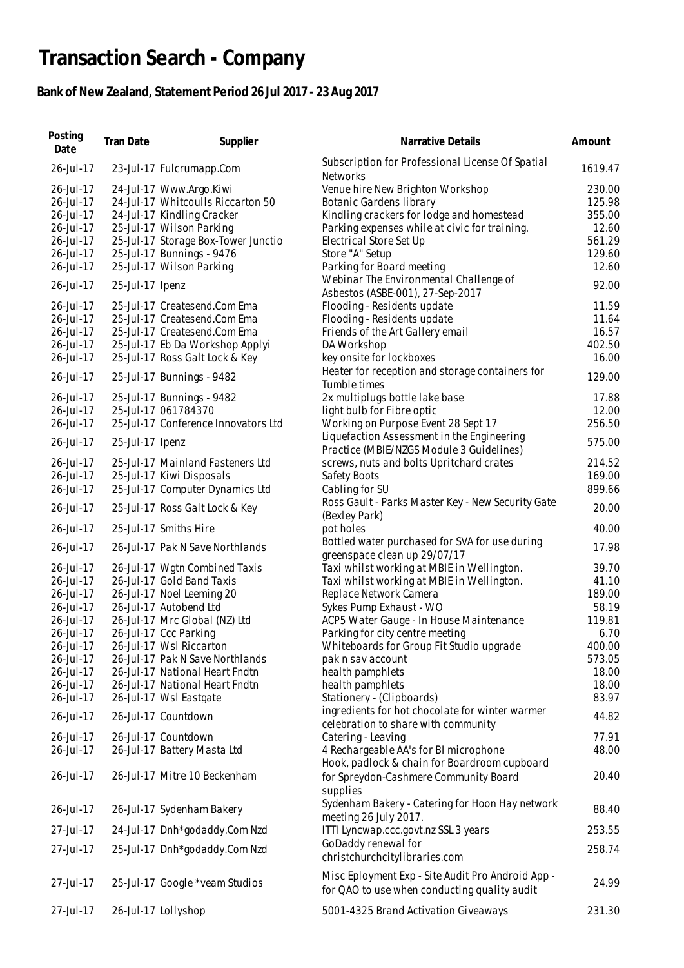## **Transaction Search - Company**

## **Bank of New Zealand, Statement Period 26 Jul 2017 - 23 Aug 2017**

| Posting<br>Date | Tran Date       | Supplier                            | Narrative Details                                                                                 | Amount  |
|-----------------|-----------------|-------------------------------------|---------------------------------------------------------------------------------------------------|---------|
| 26-Jul-17       |                 | 23-Jul-17 Fulcrumapp.Com            | Subscription for Professional License Of Spatial<br><b>Networks</b>                               | 1619.47 |
| 26-Jul-17       |                 | 24-Jul-17 Www.Argo.Kiwi             | Venue hire New Brighton Workshop                                                                  | 230.00  |
| 26-Jul-17       |                 | 24-Jul-17 Whitcoulls Riccarton 50   | Botanic Gardens library                                                                           | 125.98  |
| 26-Jul-17       |                 | 24-Jul-17 Kindling Cracker          | Kindling crackers for lodge and homestead                                                         | 355.00  |
| 26-Jul-17       |                 | 25-Jul-17 Wilson Parking            | Parking expenses while at civic for training.                                                     | 12.60   |
| 26-Jul-17       |                 | 25-Jul-17 Storage Box-Tower Junctio | Electrical Store Set Up                                                                           | 561.29  |
| 26-Jul-17       |                 | 25-Jul-17 Bunnings - 9476           | Store "A" Setup                                                                                   | 129.60  |
| 26-Jul-17       |                 | 25-Jul-17 Wilson Parking            | Parking for Board meeting                                                                         | 12.60   |
|                 |                 |                                     | Webinar The Environmental Challenge of                                                            |         |
| 26-Jul-17       | 25-Jul-17 Ipenz |                                     | Asbestos (ASBE-001), 27-Sep-2017                                                                  | 92.00   |
| 26-Jul-17       |                 | 25-Jul-17 Createsend.Com Ema        | Flooding - Residents update                                                                       | 11.59   |
| 26-Jul-17       |                 | 25-Jul-17 Createsend.Com Ema        | Flooding - Residents update                                                                       | 11.64   |
| 26-Jul-17       |                 | 25-Jul-17 Createsend.Com Ema        | Friends of the Art Gallery email                                                                  | 16.57   |
| 26-Jul-17       |                 | 25-Jul-17 Eb Da Workshop Applyi     | DA Workshop                                                                                       | 402.50  |
| 26-Jul-17       |                 | 25-Jul-17 Ross Galt Lock & Key      | key onsite for lockboxes                                                                          | 16.00   |
| 26-Jul-17       |                 | 25-Jul-17 Bunnings - 9482           | Heater for reception and storage containers for<br>Tumble times                                   | 129.00  |
| 26-Jul-17       |                 | 25-Jul-17 Bunnings - 9482           | 2x multiplugs bottle lake base                                                                    | 17.88   |
| 26-Jul-17       |                 | 25-Jul-17 061784370                 | light bulb for Fibre optic                                                                        | 12.00   |
| 26-Jul-17       |                 | 25-Jul-17 Conference Innovators Ltd | Working on Purpose Event 28 Sept 17                                                               | 256.50  |
| 26-Jul-17       | 25-Jul-17 Ipenz |                                     | Liquefaction Assessment in the Engineering<br>Practice (MBIE/NZGS Module 3 Guidelines)            | 575.00  |
| 26-Jul-17       |                 | 25-Jul-17 Mainland Fasteners Ltd    | screws, nuts and bolts Upritchard crates                                                          | 214.52  |
| 26-Jul-17       |                 | 25-Jul-17 Kiwi Disposals            | Safety Boots                                                                                      | 169.00  |
| 26-Jul-17       |                 | 25-Jul-17 Computer Dynamics Ltd     | Cabling for SU                                                                                    | 899.66  |
| 26-Jul-17       |                 | 25-Jul-17 Ross Galt Lock & Key      | Ross Gault - Parks Master Key - New Security Gate                                                 | 20.00   |
| 26-Jul-17       |                 | 25-Jul-17 Smiths Hire               | (Bexley Park)<br>pot holes                                                                        | 40.00   |
| 26-Jul-17       |                 | 26-Jul-17 Pak N Save Northlands     | Bottled water purchased for SVA for use during<br>greenspace clean up 29/07/17                    | 17.98   |
| 26-Jul-17       |                 | 26-Jul-17 Wgtn Combined Taxis       | Taxi whilst working at MBIE in Wellington.                                                        | 39.70   |
| 26-Jul-17       |                 | 26-Jul-17 Gold Band Taxis           | Taxi whilst working at MBIE in Wellington.                                                        | 41.10   |
| 26-Jul-17       |                 | 26-Jul-17 Noel Leeming 20           | Replace Network Camera                                                                            | 189.00  |
| 26-Jul-17       |                 | 26-Jul-17 Autobend Ltd              | Sykes Pump Exhaust - WO                                                                           | 58.19   |
| 26-Jul-17       |                 | 26-Jul-17 Mrc Global (NZ) Ltd       | ACP5 Water Gauge - In House Maintenance                                                           | 119.81  |
| 26-Jul-17       |                 | 26-Jul-17 Ccc Parking               | Parking for city centre meeting                                                                   | 6.70    |
| 26-Jul-17       |                 | 26-Jul-17 Wsl Riccarton             | Whiteboards for Group Fit Studio upgrade                                                          | 400.00  |
| 26-Jul-17       |                 | 26-Jul-17 Pak N Save Northlands     | pak n sav account                                                                                 | 573.05  |
| 26-Jul-17       |                 | 26-Jul-17 National Heart Fndtn      | health pamphlets                                                                                  | 18.00   |
| 26-Jul-17       |                 | 26-Jul-17 National Heart Fndtn      | health pamphlets                                                                                  | 18.00   |
| 26-Jul-17       |                 | 26-Jul-17 Wsl Eastgate              | Stationery - (Clipboards)                                                                         | 83.97   |
| 26-Jul-17       |                 | 26-Jul-17 Countdown                 | ingredients for hot chocolate for winter warmer                                                   | 44.82   |
|                 |                 |                                     | celebration to share with community                                                               |         |
| 26-Jul-17       |                 | 26-Jul-17 Countdown                 | Catering - Leaving                                                                                | 77.91   |
| 26-Jul-17       |                 | 26-Jul-17 Battery Masta Ltd         | 4 Rechargeable AA's for BI microphone                                                             | 48.00   |
| 26-Jul-17       |                 | 26-Jul-17 Mitre 10 Beckenham        | Hook, padlock & chain for Boardroom cupboard<br>for Spreydon-Cashmere Community Board             | 20.40   |
|                 |                 |                                     | supplies<br>Sydenham Bakery - Catering for Hoon Hay network                                       | 88.40   |
| 26-Jul-17       |                 | 26-Jul-17 Sydenham Bakery           | meeting 26 July 2017.                                                                             |         |
| 27-Jul-17       |                 | 24-Jul-17 Dnh*godaddy.Com Nzd       | ITTI Lyncwap.ccc.govt.nz SSL 3 years<br>GoDaddy renewal for                                       | 253.55  |
| 27-Jul-17       |                 | 25-Jul-17 Dnh*godaddy.Com Nzd       | christchurchcitylibraries.com                                                                     | 258.74  |
| 27-Jul-17       |                 | 25-Jul-17 Google *veam Studios      | Misc Eployment Exp - Site Audit Pro Android App -<br>for QAO to use when conducting quality audit | 24.99   |
| 27-Jul-17       |                 | 26-Jul-17 Lollyshop                 | 5001-4325 Brand Activation Giveaways                                                              | 231.30  |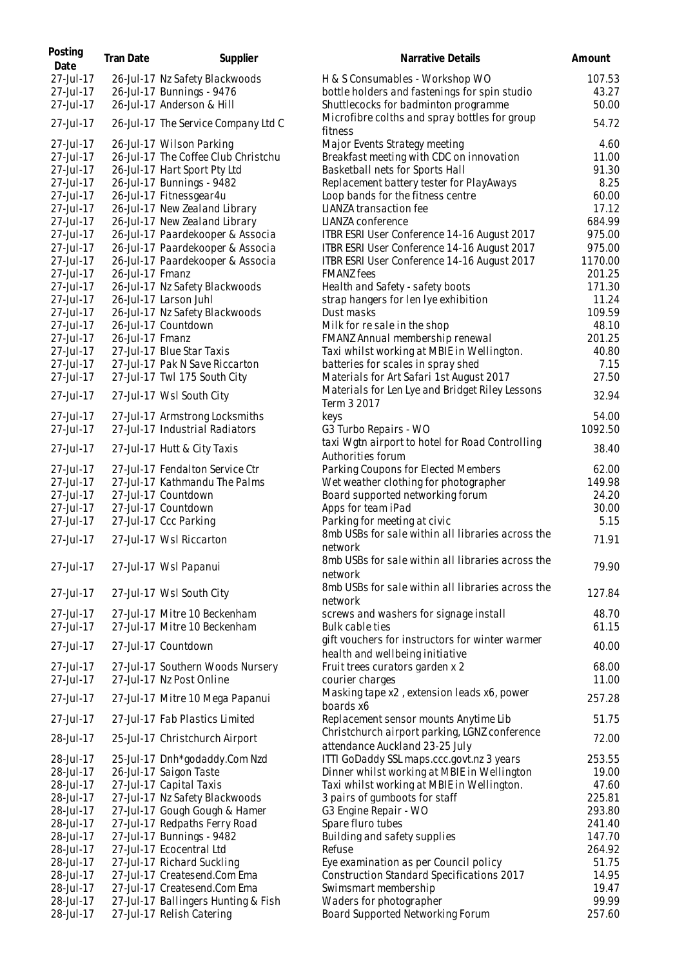| Posting<br>Date | Tran Date       | Supplier                            | Narrative Details                                                                  | Amount  |
|-----------------|-----------------|-------------------------------------|------------------------------------------------------------------------------------|---------|
| 27-Jul-17       |                 | 26-Jul-17 Nz Safety Blackwoods      | H & S Consumables - Workshop WO                                                    | 107.53  |
| 27-Jul-17       |                 | 26-Jul-17 Bunnings - 9476           | bottle holders and fastenings for spin studio                                      | 43.27   |
| 27-Jul-17       |                 | 26-Jul-17 Anderson & Hill           | Shuttlecocks for badminton programme                                               | 50.00   |
|                 |                 |                                     | Microfibre colths and spray bottles for group                                      |         |
| 27-Jul-17       |                 | 26-Jul-17 The Service Company Ltd C | fitness                                                                            | 54.72   |
| 27-Jul-17       |                 | 26-Jul-17 Wilson Parking            | Major Events Strategy meeting                                                      | 4.60    |
| 27-Jul-17       |                 | 26-Jul-17 The Coffee Club Christchu | Breakfast meeting with CDC on innovation                                           | 11.00   |
| 27-Jul-17       |                 | 26-Jul-17 Hart Sport Pty Ltd        | Basketball nets for Sports Hall                                                    | 91.30   |
| 27-Jul-17       |                 | 26-Jul-17 Bunnings - 9482           | Replacement battery tester for PlayAways                                           | 8.25    |
| 27-Jul-17       |                 | 26-Jul-17 Fitnessgear4u             | Loop bands for the fitness centre                                                  | 60.00   |
| 27-Jul-17       |                 | 26-Jul-17 New Zealand Library       | LIANZA transaction fee                                                             | 17.12   |
| 27-Jul-17       |                 | 26-Jul-17 New Zealand Library       | LIANZA conference                                                                  | 684.99  |
| 27-Jul-17       |                 | 26-Jul-17 Paardekooper & Associa    | ITBR ESRI User Conference 14-16 August 2017                                        | 975.00  |
| 27-Jul-17       |                 | 26-Jul-17 Paardekooper & Associa    | ITBR ESRI User Conference 14-16 August 2017                                        | 975.00  |
| 27-Jul-17       |                 | 26-Jul-17 Paardekooper & Associa    | ITBR ESRI User Conference 14-16 August 2017                                        | 1170.00 |
| 27-Jul-17       | 26-Jul-17 Fmanz |                                     | <b>FMANZ</b> fees                                                                  | 201.25  |
| 27-Jul-17       |                 | 26-Jul-17 Nz Safety Blackwoods      | Health and Safety - safety boots                                                   | 171.30  |
| 27-Jul-17       |                 | 26-Jul-17 Larson Juhl               | strap hangers for len Iye exhibition                                               | 11.24   |
| 27-Jul-17       |                 | 26-Jul-17 Nz Safety Blackwoods      | Dust masks                                                                         | 109.59  |
| 27-Jul-17       |                 | 26-Jul-17 Countdown                 | Milk for resale in the shop                                                        | 48.10   |
| 27-Jul-17       | 26-Jul-17 Fmanz |                                     | FMANZ Annual membership renewal                                                    | 201.25  |
| 27-Jul-17       |                 | 27-Jul-17 Blue Star Taxis           | Taxi whilst working at MBIE in Wellington.                                         | 40.80   |
| 27-Jul-17       |                 | 27-Jul-17 Pak N Save Riccarton      | batteries for scales in spray shed                                                 | 7.15    |
| 27-Jul-17       |                 | 27-Jul-17 Twl 175 South City        | Materials for Art Safari 1st August 2017                                           | 27.50   |
| 27-Jul-17       |                 | 27-Jul-17 WsI South City            | Materials for Len Lye and Bridget Riley Lessons                                    | 32.94   |
|                 |                 |                                     | Term 3 2017                                                                        |         |
| 27-Jul-17       |                 | 27-Jul-17 Armstrong Locksmiths      | keys                                                                               | 54.00   |
| 27-Jul-17       |                 | 27-Jul-17 Industrial Radiators      | G3 Turbo Repairs - WO                                                              | 1092.50 |
| 27-Jul-17       |                 | 27-Jul-17 Hutt & City Taxis         | taxi Wgtn airport to hotel for Road Controlling<br>Authorities forum               | 38.40   |
| 27-Jul-17       |                 | 27-Jul-17 Fendalton Service Ctr     | Parking Coupons for Elected Members                                                | 62.00   |
| 27-Jul-17       |                 | 27-Jul-17 Kathmandu The Palms       | Wet weather clothing for photographer                                              | 149.98  |
| 27-Jul-17       |                 | 27-Jul-17 Countdown                 | Board supported networking forum                                                   | 24.20   |
| 27-Jul-17       |                 | 27-Jul-17 Countdown                 | Apps for team iPad                                                                 | 30.00   |
| 27-Jul-17       |                 | 27-Jul-17 Ccc Parking               | Parking for meeting at civic                                                       | 5.15    |
| 27-Jul-17       |                 | 27-Jul-17 Wsl Riccarton             | 8mb USBs for sale within all libraries across the                                  | 71.91   |
|                 |                 |                                     | network<br>8mb USBs for sale within all libraries across the                       |         |
| 27-Jul-17       |                 | 27-Jul-17 Wsl Papanui               | network                                                                            | 79.90   |
| 27-Jul-17       |                 | 27-Jul-17 Wsl South City            | 8mb USBs for sale within all libraries across the                                  | 127.84  |
|                 |                 |                                     | network                                                                            |         |
| 27-Jul-17       |                 | 27-Jul-17 Mitre 10 Beckenham        | screws and washers for signage install                                             | 48.70   |
| 27-Jul-17       |                 | 27-Jul-17 Mitre 10 Beckenham        | Bulk cable ties                                                                    | 61.15   |
| 27-Jul-17       |                 | 27-Jul-17 Countdown                 | gift vouchers for instructors for winter warmer<br>health and wellbeing initiative | 40.00   |
| 27-Jul-17       |                 | 27-Jul-17 Southern Woods Nursery    | Fruit trees curators garden x 2                                                    | 68.00   |
| 27-Jul-17       |                 | 27-Jul-17 Nz Post Online            | courier charges                                                                    | 11.00   |
| 27-Jul-17       |                 | 27-Jul-17 Mitre 10 Mega Papanui     | Masking tape x2, extension leads x6, power                                         | 257.28  |
| 27-Jul-17       |                 | 27-Jul-17 Fab Plastics Limited      | boards x6<br>Replacement sensor mounts Anytime Lib                                 | 51.75   |
| 28-Jul-17       |                 | 25-Jul-17 Christchurch Airport      | Christchurch airport parking, LGNZ conference                                      | 72.00   |
|                 |                 |                                     | attendance Auckland 23-25 July                                                     |         |
| 28-Jul-17       |                 | 25-Jul-17 Dnh*godaddy.Com Nzd       | ITTI GoDaddy SSL maps.ccc.govt.nz 3 years                                          | 253.55  |
| 28-Jul-17       |                 | 26-Jul-17 Saigon Taste              | Dinner whilst working at MBIE in Wellington                                        | 19.00   |
| 28-Jul-17       |                 | 27-Jul-17 Capital Taxis             | Taxi whilst working at MBIE in Wellington.                                         | 47.60   |
| 28-Jul-17       |                 | 27-Jul-17 Nz Safety Blackwoods      | 3 pairs of gumboots for staff                                                      | 225.81  |
| 28-Jul-17       |                 | 27-Jul-17 Gough Gough & Hamer       | G3 Engine Repair - WO                                                              | 293.80  |
| 28-Jul-17       |                 | 27-Jul-17 Redpaths Ferry Road       | Spare fluro tubes                                                                  | 241.40  |
| 28-Jul-17       |                 | 27-Jul-17 Bunnings - 9482           | Building and safety supplies                                                       | 147.70  |
| 28-Jul-17       |                 | 27-Jul-17 Ecocentral Ltd            | Refuse                                                                             | 264.92  |
| 28-Jul-17       |                 | 27-Jul-17 Richard Suckling          | Eye examination as per Council policy                                              | 51.75   |
| 28-Jul-17       |                 | 27-Jul-17 Createsend.Com Ema        | Construction Standard Specifications 2017                                          | 14.95   |
| 28-Jul-17       |                 | 27-Jul-17 Createsend.Com Ema        | Swimsmart membership                                                               | 19.47   |
| 28-Jul-17       |                 | 27-Jul-17 Ballingers Hunting & Fish | Waders for photographer                                                            | 99.99   |
| 28-Jul-17       |                 | 27-Jul-17 Relish Catering           | Board Supported Networking Forum                                                   | 257.60  |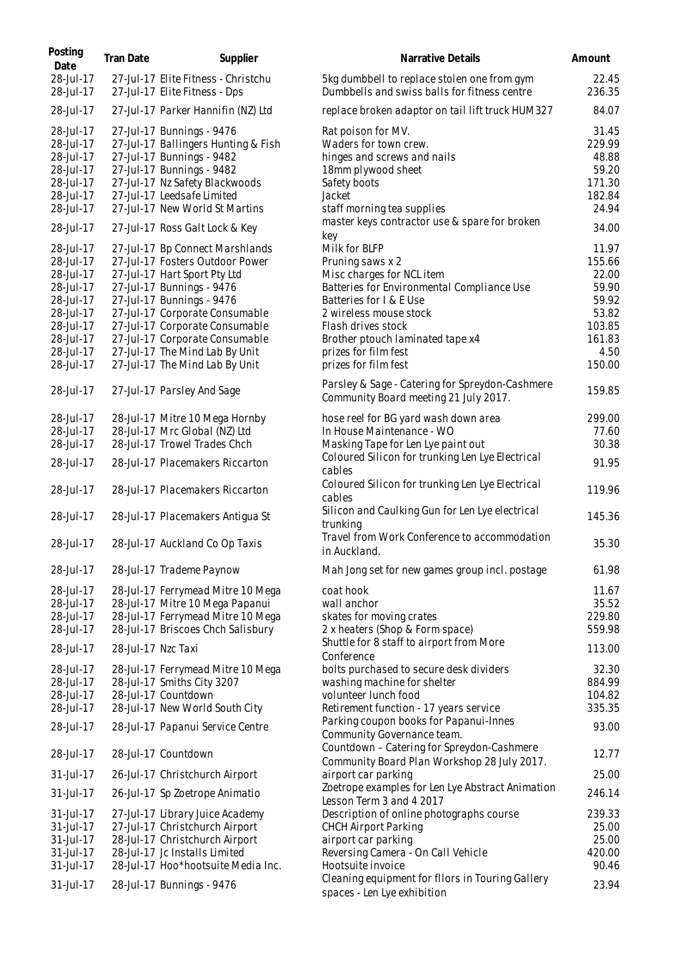| Posting<br>Date                                                                                                                | <b>Tran Date</b>   | Supplier                                                                                                                                                                                                                                                                                                                               | Narrative Details                                                                                                                                                                                                                                                                  | Amount                                                                                    |
|--------------------------------------------------------------------------------------------------------------------------------|--------------------|----------------------------------------------------------------------------------------------------------------------------------------------------------------------------------------------------------------------------------------------------------------------------------------------------------------------------------------|------------------------------------------------------------------------------------------------------------------------------------------------------------------------------------------------------------------------------------------------------------------------------------|-------------------------------------------------------------------------------------------|
| 28-Jul-17<br>28-Jul-17                                                                                                         |                    | 27-Jul-17 Elite Fitness - Christchu<br>27-Jul-17 Elite Fitness - Dps                                                                                                                                                                                                                                                                   | 5kg dumbbell to replace stolen one from gym<br>Dumbbells and swiss balls for fitness centre                                                                                                                                                                                        | 22.45<br>236.35                                                                           |
| 28-Jul-17                                                                                                                      |                    | 27-Jul-17 Parker Hannifin (NZ) Ltd                                                                                                                                                                                                                                                                                                     | replace broken adaptor on tail lift truck HUM327                                                                                                                                                                                                                                   | 84.07                                                                                     |
| 28-Jul-17<br>28-Jul-17<br>28-Jul-17<br>28-Jul-17<br>28-Jul-17<br>28-Jul-17<br>28-Jul-17                                        |                    | 27-Jul-17 Bunnings - 9476<br>27-Jul-17 Ballingers Hunting & Fish<br>27-Jul-17 Bunnings - 9482<br>27-Jul-17 Bunnings - 9482<br>27-Jul-17 Nz Safety Blackwoods<br>27-Jul-17 Leedsafe Limited<br>27-Jul-17 New World St Martins                                                                                                           | Rat poison for MV.<br>Waders for town crew.<br>hinges and screws and nails<br>18mm plywood sheet<br>Safety boots<br>Jacket<br>staff morning tea supplies                                                                                                                           | 31.45<br>229.99<br>48.88<br>59.20<br>171.30<br>182.84<br>24.94                            |
| 28-Jul-17                                                                                                                      |                    | 27-Jul-17 Ross Galt Lock & Key                                                                                                                                                                                                                                                                                                         | master keys contractor use & spare for broken                                                                                                                                                                                                                                      | 34.00                                                                                     |
| 28-Jul-17<br>28-Jul-17<br>28-Jul-17<br>28-Jul-17<br>28-Jul-17<br>28-Jul-17<br>28-Jul-17<br>28-Jul-17<br>28-Jul-17<br>28-Jul-17 |                    | 27-Jul-17 Bp Connect Marshlands<br>27-Jul-17 Fosters Outdoor Power<br>27-Jul-17 Hart Sport Pty Ltd<br>27-Jul-17 Bunnings - 9476<br>27-Jul-17 Bunnings - 9476<br>27-Jul-17 Corporate Consumable<br>27-Jul-17 Corporate Consumable<br>27-Jul-17 Corporate Consumable<br>27-Jul-17 The Mind Lab By Unit<br>27-Jul-17 The Mind Lab By Unit | key<br>Milk for BLFP<br>Pruning saws x 2<br>Misc charges for NCL item<br>Batteries for Environmental Compliance Use<br>Batteries for I & E Use<br>2 wireless mouse stock<br>Flash drives stock<br>Brother ptouch laminated tape x4<br>prizes for film fest<br>prizes for film fest | 11.97<br>155.66<br>22.00<br>59.90<br>59.92<br>53.82<br>103.85<br>161.83<br>4.50<br>150.00 |
| 28-Jul-17                                                                                                                      |                    | 27-Jul-17 Parsley And Sage                                                                                                                                                                                                                                                                                                             | Parsley & Sage - Catering for Spreydon-Cashmere<br>Community Board meeting 21 July 2017.                                                                                                                                                                                           | 159.85                                                                                    |
| 28-Jul-17<br>28-Jul-17<br>28-Jul-17<br>28-Jul-17                                                                               |                    | 28-Jul-17 Mitre 10 Mega Hornby<br>28-Jul-17 Mrc Global (NZ) Ltd<br>28-Jul-17 Trowel Trades Chch<br>28-Jul-17 Placemakers Riccarton                                                                                                                                                                                                     | hose reel for BG yard wash down area<br>In House Maintenance - WO<br>Masking Tape for Len Lye paint out<br>Coloured Silicon for trunking Len Lye Electrical                                                                                                                        | 299.00<br>77.60<br>30.38<br>91.95                                                         |
| 28-Jul-17                                                                                                                      |                    | 28-Jul-17 Placemakers Riccarton                                                                                                                                                                                                                                                                                                        | cables<br>Coloured Silicon for trunking Len Lye Electrical<br>cables                                                                                                                                                                                                               | 119.96                                                                                    |
| 28-Jul-17                                                                                                                      |                    | 28-Jul-17 Placemakers Antigua St                                                                                                                                                                                                                                                                                                       | Silicon and Caulking Gun for Len Lye electrical<br>trunking                                                                                                                                                                                                                        | 145.36                                                                                    |
| 28-Jul-17                                                                                                                      |                    | 28-Jul-17 Auckland Co Op Taxis                                                                                                                                                                                                                                                                                                         | Travel from Work Conference to accommodation<br>in Auckland.                                                                                                                                                                                                                       | 35.30                                                                                     |
| 28-Jul-17                                                                                                                      |                    | 28-Jul-17 Trademe Paynow                                                                                                                                                                                                                                                                                                               | Mah Jong set for new games group incl. postage                                                                                                                                                                                                                                     | 61.98                                                                                     |
| 28-Jul-17<br>28-Jul-17<br>28-Jul-17<br>28-Jul-17                                                                               |                    | 28-Jul-17 Ferrymead Mitre 10 Mega<br>28-Jul-17 Mitre 10 Mega Papanui<br>28-Jul-17 Ferrymead Mitre 10 Mega<br>28-Jul-17 Briscoes Chch Salisbury                                                                                                                                                                                         | coat hook<br>wall anchor<br>skates for moving crates<br>2 x heaters (Shop & Form space)                                                                                                                                                                                            | 11.67<br>35.52<br>229.80<br>559.98                                                        |
| 28-Jul-17                                                                                                                      | 28-Jul-17 Nzc Taxi |                                                                                                                                                                                                                                                                                                                                        | Shuttle for 8 staff to airport from More<br>Conference                                                                                                                                                                                                                             | 113.00                                                                                    |
| 28-Jul-17<br>28-Jul-17<br>28-Jul-17<br>28-Jul-17                                                                               |                    | 28-Jul-17 Ferrymead Mitre 10 Mega<br>28-Jul-17 Smiths City 3207<br>28-Jul-17 Countdown<br>28-Jul-17 New World South City                                                                                                                                                                                                               | bolts purchased to secure desk dividers<br>washing machine for shelter<br>volunteer lunch food<br>Retirement function - 17 years service<br>Parking coupon books for Papanui-Innes                                                                                                 | 32.30<br>884.99<br>104.82<br>335.35                                                       |
| 28-Jul-17                                                                                                                      |                    | 28-Jul-17 Papanui Service Centre                                                                                                                                                                                                                                                                                                       | Community Governance team.<br>Countdown - Catering for Spreydon-Cashmere                                                                                                                                                                                                           | 93.00                                                                                     |
| 28-Jul-17                                                                                                                      |                    | 28-Jul-17 Countdown                                                                                                                                                                                                                                                                                                                    | Community Board Plan Workshop 28 July 2017.                                                                                                                                                                                                                                        | 12.77                                                                                     |
| 31-Jul-17<br>31-Jul-17                                                                                                         |                    | 26-Jul-17 Christchurch Airport<br>26-Jul-17 Sp Zoetrope Animatio                                                                                                                                                                                                                                                                       | airport car parking<br>Zoetrope examples for Len Lye Abstract Animation                                                                                                                                                                                                            | 25.00<br>246.14                                                                           |
| 31-Jul-17<br>31-Jul-17<br>31-Jul-17<br>31-Jul-17<br>31-Jul-17<br>31-Jul-17                                                     |                    | 27-Jul-17 Library Juice Academy<br>27-Jul-17 Christchurch Airport<br>28-Jul-17 Christchurch Airport<br>28-Jul-17 Jc Installs Limited<br>28-Jul-17 Hoo*hootsuite Media Inc.<br>28-Jul-17 Bunnings - 9476                                                                                                                                | Lesson Term 3 and 4 2017<br>Description of online photographs course<br><b>CHCH Airport Parking</b><br>airport car parking<br>Reversing Camera - On Call Vehicle<br>Hootsuite invoice<br>Cleaning equipment for filors in Touring Gallery                                          | 239.33<br>25.00<br>25.00<br>420.00<br>90.46<br>23.94                                      |
|                                                                                                                                |                    |                                                                                                                                                                                                                                                                                                                                        | spaces - Len Lye exhibition                                                                                                                                                                                                                                                        |                                                                                           |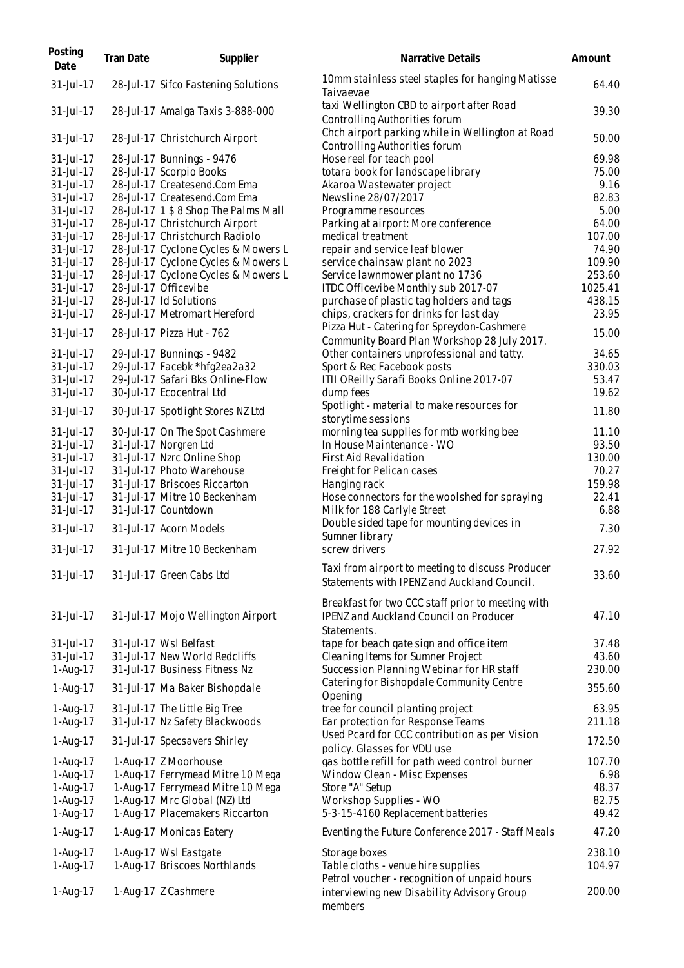| Posting<br>Date        | <b>Tran Date</b> | Supplier                                                                   | Narrative Details                                                                               | Amount           |
|------------------------|------------------|----------------------------------------------------------------------------|-------------------------------------------------------------------------------------------------|------------------|
| 31-Jul-17              |                  | 28-Jul-17 Sifco Fastening Solutions                                        | 10mm stainless steel staples for hanging Matisse<br>Taivaevae                                   | 64.40            |
| 31-Jul-17              |                  | 28-Jul-17 Amalga Taxis 3-888-000                                           | taxi Wellington CBD to airport after Road<br>Controlling Authorities forum                      | 39.30            |
| 31-Jul-17              |                  | 28-Jul-17 Christchurch Airport                                             | Chch airport parking while in Wellington at Road<br>Controlling Authorities forum               | 50.00            |
| 31-Jul-17              |                  | 28-Jul-17 Bunnings - 9476                                                  | Hose reel for teach pool                                                                        | 69.98            |
| 31-Jul-17              |                  | 28-Jul-17 Scorpio Books                                                    | totara book for landscape library                                                               | 75.00            |
| 31-Jul-17              |                  | 28-Jul-17 Createsend.Com Ema                                               | Akaroa Wastewater project                                                                       | 9.16             |
| 31-Jul-17              |                  | 28-Jul-17 Createsend.Com Ema                                               | Newsline 28/07/2017                                                                             | 82.83            |
| 31-Jul-17              |                  | 28-Jul-17 1 \$ 8 Shop The Palms Mall                                       | Programme resources                                                                             | 5.00             |
| 31-Jul-17              |                  | 28-Jul-17 Christchurch Airport                                             | Parking at airport: More conference                                                             | 64.00            |
| 31-Jul-17              |                  | 28-Jul-17 Christchurch Radiolo                                             | medical treatment                                                                               | 107.00           |
| 31-Jul-17<br>31-Jul-17 |                  | 28-Jul-17 Cyclone Cycles & Mowers L                                        | repair and service leaf blower                                                                  | 74.90<br>109.90  |
| 31-Jul-17              |                  | 28-Jul-17 Cyclone Cycles & Mowers L<br>28-Jul-17 Cyclone Cycles & Mowers L | service chainsaw plant no 2023<br>Service lawnmower plant no 1736                               | 253.60           |
| 31-Jul-17              |                  | 28-Jul-17 Officevibe                                                       | ITDC Officevibe Monthly sub 2017-07                                                             | 1025.41          |
| 31-Jul-17              |                  | 28-Jul-17 Id Solutions                                                     | purchase of plastic tag holders and tags                                                        | 438.15           |
| 31-Jul-17              |                  | 28-Jul-17 Metromart Hereford                                               | chips, crackers for drinks for last day                                                         | 23.95            |
|                        |                  |                                                                            | Pizza Hut - Catering for Spreydon-Cashmere                                                      |                  |
| 31-Jul-17              |                  | 28-Jul-17 Pizza Hut - 762                                                  | Community Board Plan Workshop 28 July 2017.                                                     | 15.00            |
| 31-Jul-17              |                  | 29-Jul-17 Bunnings - 9482                                                  | Other containers unprofessional and tatty.                                                      | 34.65            |
| 31-Jul-17              |                  | 29-Jul-17 Facebk *hfg2ea2a32                                               | Sport & Rec Facebook posts                                                                      | 330.03           |
| 31-Jul-17              |                  | 29-Jul-17 Safari Bks Online-Flow                                           | ITII OReilly Sarafi Books Online 2017-07                                                        | 53.47            |
| 31-Jul-17              |                  | 30-Jul-17 Ecocentral Ltd                                                   | dump fees                                                                                       | 19.62            |
| 31-Jul-17              |                  | 30-Jul-17 Spotlight Stores NZ Ltd                                          | Spotlight - material to make resources for<br>storytime sessions                                | 11.80            |
| 31-Jul-17              |                  | 30-Jul-17 On The Spot Cashmere                                             | morning tea supplies for mtb working bee                                                        | 11.10            |
| 31-Jul-17              |                  | 31-Jul-17 Norgren Ltd                                                      | In House Maintenance - WO                                                                       | 93.50            |
| 31-Jul-17              |                  | 31-Jul-17 Nzrc Online Shop                                                 | First Aid Revalidation                                                                          | 130.00           |
| 31-Jul-17              |                  | 31-Jul-17 Photo Warehouse                                                  | Freight for Pelican cases                                                                       | 70.27            |
| 31-Jul-17              |                  | 31-Jul-17 Briscoes Riccarton                                               | Hanging rack                                                                                    | 159.98           |
| 31-Jul-17              |                  | 31-Jul-17 Mitre 10 Beckenham                                               | Hose connectors for the woolshed for spraying                                                   | 22.41            |
| 31-Jul-17              |                  | 31-Jul-17 Countdown                                                        | Milk for 188 Carlyle Street                                                                     | 6.88             |
| 31-Jul-17              |                  | 31-Jul-17 Acorn Models                                                     | Double sided tape for mounting devices in<br>Sumner library                                     | 7.30             |
| 31-Jul-17              |                  | 31-Jul-17 Mitre 10 Beckenham                                               | screw drivers                                                                                   | 27.92            |
| 31-Jul-17              |                  | 31-Jul-17 Green Cabs Ltd                                                   | Taxi from airport to meeting to discuss Producer<br>Statements with IPENZ and Auckland Council. | 33.60            |
|                        |                  |                                                                            | Breakfast for two CCC staff prior to meeting with                                               |                  |
| 31-Jul-17              |                  | 31-Jul-17 Mojo Wellington Airport                                          | <b>IPENZ and Auckland Council on Producer</b><br>Statements.                                    | 47.10            |
| 31-Jul-17              |                  | 31-Jul-17 Wsl Belfast                                                      | tape for beach gate sign and office item                                                        | 37.48            |
| 31-Jul-17              |                  | 31-Jul-17 New World Redcliffs                                              | Cleaning Items for Sumner Project                                                               | 43.60            |
| 1-Aug-17               |                  | 31-Jul-17 Business Fitness Nz                                              | Succession Planning Webinar for HR staff                                                        | 230.00           |
| 1-Aug-17               |                  | 31-Jul-17 Ma Baker Bishopdale                                              | Catering for Bishopdale Community Centre<br>Opening                                             | 355.60           |
| 1-Aug-17               |                  | 31-Jul-17 The Little Big Tree                                              | tree for council planting project                                                               | 63.95            |
| 1-Aug-17               |                  | 31-Jul-17 Nz Safety Blackwoods                                             | Ear protection for Response Teams                                                               | 211.18           |
| 1-Aug-17               |                  | 31-Jul-17 Specsavers Shirley                                               | Used Pcard for CCC contribution as per Vision                                                   | 172.50           |
|                        |                  |                                                                            | policy. Glasses for VDU use                                                                     |                  |
| 1-Aug-17               |                  | 1-Aug-17 Z Moorhouse                                                       | gas bottle refill for path weed control burner                                                  | 107.70           |
| 1-Aug-17<br>1-Aug-17   |                  | 1-Aug-17 Ferrymead Mitre 10 Mega<br>1-Aug-17 Ferrymead Mitre 10 Mega       | Window Clean - Misc Expenses<br>Store "A" Setup                                                 | 6.98<br>48.37    |
| 1-Aug-17               |                  | 1-Aug-17 Mrc Global (NZ) Ltd                                               | Workshop Supplies - WO                                                                          | 82.75            |
| 1-Aug-17               |                  | 1-Aug-17 Placemakers Riccarton                                             | 5-3-15-4160 Replacement batteries                                                               | 49.42            |
| 1-Aug-17               |                  | 1-Aug-17 Monicas Eatery                                                    | Eventing the Future Conference 2017 - Staff Meals                                               | 47.20            |
|                        |                  |                                                                            |                                                                                                 |                  |
| 1-Aug-17<br>1-Aug-17   |                  | 1-Aug-17 Wsl Eastgate<br>1-Aug-17 Briscoes Northlands                      | Storage boxes<br>Table cloths - venue hire supplies                                             | 238.10<br>104.97 |
|                        |                  |                                                                            | Petrol voucher - recognition of unpaid hours                                                    |                  |
| 1-Aug-17               |                  | 1-Aug-17 Z Cashmere                                                        | interviewing new Disability Advisory Group<br>members                                           | 200.00           |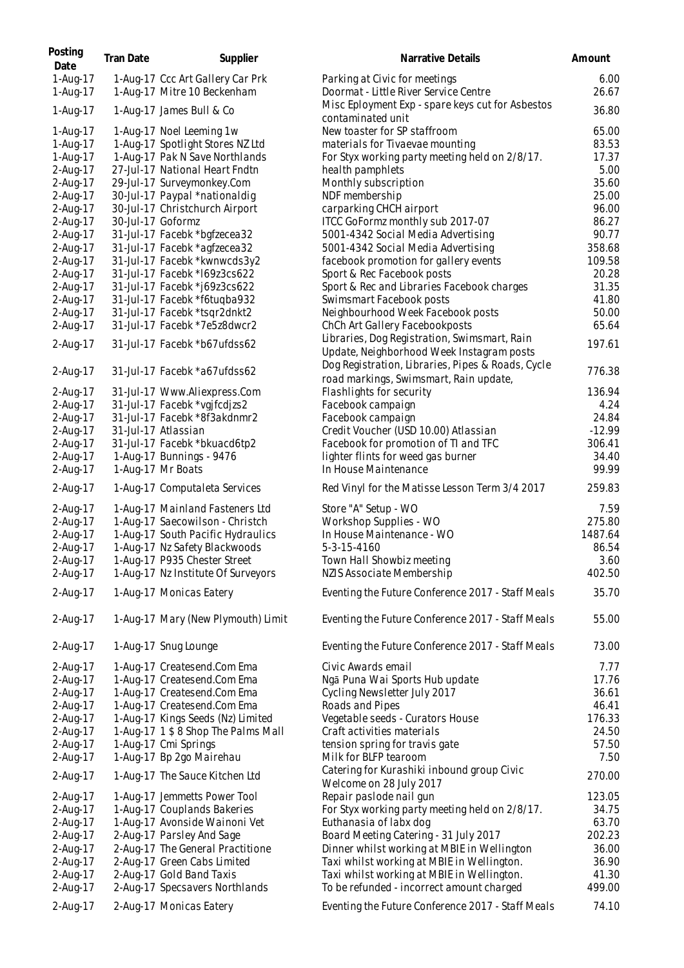| Posting<br>Date      | <b>Tran Date</b>  | Supplier                                                        | Narrative Details                                                                           | Amount         |
|----------------------|-------------------|-----------------------------------------------------------------|---------------------------------------------------------------------------------------------|----------------|
| 1-Aug-17<br>1-Aug-17 |                   | 1-Aug-17 Ccc Art Gallery Car Prk<br>1-Aug-17 Mitre 10 Beckenham | Parking at Civic for meetings<br>Doormat - Little River Service Centre                      | 6.00<br>26.67  |
| 1-Aug-17             |                   | 1-Aug-17 James Bull & Co                                        | Misc Eployment Exp - spare keys cut for Asbestos<br>contaminated unit                       | 36.80          |
| 1-Aug-17             |                   | 1-Aug-17 Noel Leeming 1w                                        | New toaster for SP staffroom                                                                | 65.00          |
| 1-Aug-17             |                   | 1-Aug-17 Spotlight Stores NZ Ltd                                | materials for Tivaevae mounting                                                             | 83.53          |
| 1-Aug-17             |                   | 1-Aug-17 Pak N Save Northlands                                  | For Styx working party meeting held on 2/8/17.                                              | 17.37          |
| 2-Aug-17             |                   | 27-Jul-17 National Heart Fndtn                                  | health pamphlets                                                                            | 5.00           |
| 2-Aug-17             |                   | 29-Jul-17 Surveymonkey.Com                                      | Monthly subscription                                                                        | 35.60          |
| 2-Aug-17             |                   | 30-Jul-17 Paypal *nationaldig                                   | NDF membership                                                                              | 25.00          |
| 2-Aug-17             |                   | 30-Jul-17 Christchurch Airport                                  | carparking CHCH airport                                                                     | 96.00          |
| 2-Aug-17<br>2-Aug-17 | 30-Jul-17 Goformz | 31-Jul-17 Facebk *bgfzecea32                                    | ITCC GoFormz monthly sub 2017-07<br>5001-4342 Social Media Advertising                      | 86.27<br>90.77 |
| 2-Aug-17             |                   | 31-Jul-17 Facebk *agfzecea32                                    | 5001-4342 Social Media Advertising                                                          | 358.68         |
| 2-Aug-17             |                   | 31-Jul-17 Facebk *kwnwcds3y2                                    | facebook promotion for gallery events                                                       | 109.58         |
| 2-Aug-17             |                   | 31-Jul-17 Facebk *169z3cs622                                    | Sport & Rec Facebook posts                                                                  | 20.28          |
| 2-Aug-17             |                   | 31-Jul-17 Facebk *j69z3cs622                                    | Sport & Rec and Libraries Facebook charges                                                  | 31.35          |
| 2-Aug-17             |                   | 31-Jul-17 Facebk *f6tuqba932                                    | Swimsmart Facebook posts                                                                    | 41.80          |
| 2-Aug-17             |                   | 31-Jul-17 Facebk *tsqr2dnkt2                                    | Neighbourhood Week Facebook posts                                                           | 50.00          |
| 2-Aug-17             |                   | 31-Jul-17 Facebk *7e5z8dwcr2                                    | ChCh Art Gallery Facebookposts                                                              | 65.64          |
| 2-Aug-17             |                   | 31-Jul-17 Facebk *b67ufdss62                                    | Libraries, Dog Registration, Swimsmart, Rain<br>Update, Neighborhood Week Instagram posts   | 197.61         |
| 2-Aug-17             |                   | 31-Jul-17 Facebk *a67ufdss62                                    | Dog Registration, Libraries, Pipes & Roads, Cycle<br>road markings, Swimsmart, Rain update, | 776.38         |
| 2-Aug-17             |                   | 31-Jul-17 Www.Aliexpress.Com                                    | Flashlights for security                                                                    | 136.94         |
| 2-Aug-17             |                   | 31-Jul-17 Facebk *vgjfcdjzs2                                    | Facebook campaign                                                                           | 4.24           |
| 2-Aug-17             |                   | 31-Jul-17 Facebk *8f3akdnmr2                                    | Facebook campaign                                                                           | 24.84          |
| 2-Aug-17             |                   | 31-Jul-17 Atlassian                                             | Credit Voucher (USD 10.00) Atlassian                                                        | $-12.99$       |
| 2-Aug-17             |                   | 31-Jul-17 Facebk *bkuacd6tp2                                    | Facebook for promotion of TI and TFC                                                        | 306.41         |
| 2-Aug-17             |                   | 1-Aug-17 Bunnings - 9476                                        | lighter flints for weed gas burner<br>In House Maintenance                                  | 34.40<br>99.99 |
| 2-Aug-17<br>2-Aug-17 |                   | 1-Aug-17 Mr Boats<br>1-Aug-17 Computaleta Services              | Red Vinyl for the Matisse Lesson Term 3/4 2017                                              | 259.83         |
| 2-Aug-17             |                   | 1-Aug-17 Mainland Fasteners Ltd                                 | Store "A" Setup - WO                                                                        | 7.59           |
| 2-Aug-17             |                   | 1-Aug-17 Saecowilson - Christch                                 | Workshop Supplies - WO                                                                      | 275.80         |
| 2-Aug-17             |                   | 1-Aug-17 South Pacific Hydraulics                               | In House Maintenance - WO                                                                   | 1487.64        |
| 2-Aug-17             |                   | 1-Aug-17 Nz Safety Blackwoods                                   | 5-3-15-4160                                                                                 | 86.54          |
| 2-Aug-17             |                   | 1-Aug-17 P935 Chester Street                                    | Town Hall Showbiz meeting                                                                   | 3.60           |
| 2-Aug-17             |                   | 1-Aug-17 Nz Institute Of Surveyors                              | NZIS Associate Membership                                                                   | 402.50         |
| 2-Aug-17             |                   | 1-Aug-17 Monicas Eatery                                         | Eventing the Future Conference 2017 - Staff Meals                                           | 35.70          |
| 2-Aug-17             |                   | 1-Aug-17 Mary (New Plymouth) Limit                              | Eventing the Future Conference 2017 - Staff Meals                                           | 55.00          |
| 2-Aug-17             |                   | 1-Aug-17 Snug Lounge                                            | Eventing the Future Conference 2017 - Staff Meals                                           | 73.00          |
| 2-Aug-17             |                   | 1-Aug-17 Createsend.Com Ema                                     | Civic Awards email                                                                          | 7.77           |
| 2-Aug-17             |                   | 1-Aug-17 Createsend.Com Ema                                     | Ngā Puna Wai Sports Hub update                                                              | 17.76          |
| 2-Aug-17             |                   | 1-Aug-17 Createsend.Com Ema                                     | Cycling Newsletter July 2017                                                                | 36.61          |
| 2-Aug-17             |                   | 1-Aug-17 Createsend.Com Ema                                     | Roads and Pipes                                                                             | 46.41          |
| 2-Aug-17             |                   | 1-Aug-17 Kings Seeds (Nz) Limited                               | Vegetable seeds - Curators House                                                            | 176.33         |
| 2-Aug-17             |                   | 1-Aug-17 1 \$ 8 Shop The Palms Mall                             | Craft activities materials                                                                  | 24.50          |
| 2-Aug-17<br>2-Aug-17 |                   | 1-Aug-17 Cmi Springs<br>1-Aug-17 Bp 2go Mairehau                | tension spring for travis gate<br>Milk for BLFP tearoom                                     | 57.50<br>7.50  |
| 2-Aug-17             |                   | 1-Aug-17 The Sauce Kitchen Ltd                                  | Catering for Kurashiki inbound group Civic                                                  | 270.00         |
| 2-Aug-17             |                   | 1-Aug-17 Jemmetts Power Tool                                    | Welcome on 28 July 2017<br>Repair paslode nail gun                                          | 123.05         |
| 2-Aug-17             |                   | 1-Aug-17 Couplands Bakeries                                     | For Styx working party meeting held on 2/8/17.                                              | 34.75          |
| 2-Aug-17             |                   | 1-Aug-17 Avonside Wainoni Vet                                   | Euthanasia of labx dog                                                                      | 63.70          |
| 2-Aug-17             |                   | 2-Aug-17 Parsley And Sage                                       | Board Meeting Catering - 31 July 2017                                                       | 202.23         |
| 2-Aug-17             |                   | 2-Aug-17 The General Practitione                                | Dinner whilst working at MBIE in Wellington                                                 | 36.00          |
| 2-Aug-17             |                   | 2-Aug-17 Green Cabs Limited                                     | Taxi whilst working at MBIE in Wellington.                                                  | 36.90          |
| 2-Aug-17             |                   | 2-Aug-17 Gold Band Taxis                                        | Taxi whilst working at MBIE in Wellington.                                                  | 41.30          |
| 2-Aug-17             |                   | 2-Aug-17 Specsavers Northlands                                  | To be refunded - incorrect amount charged                                                   | 499.00         |
| 2-Aug-17             |                   | 2-Aug-17 Monicas Eatery                                         | Eventing the Future Conference 2017 - Staff Meals                                           | 74.10          |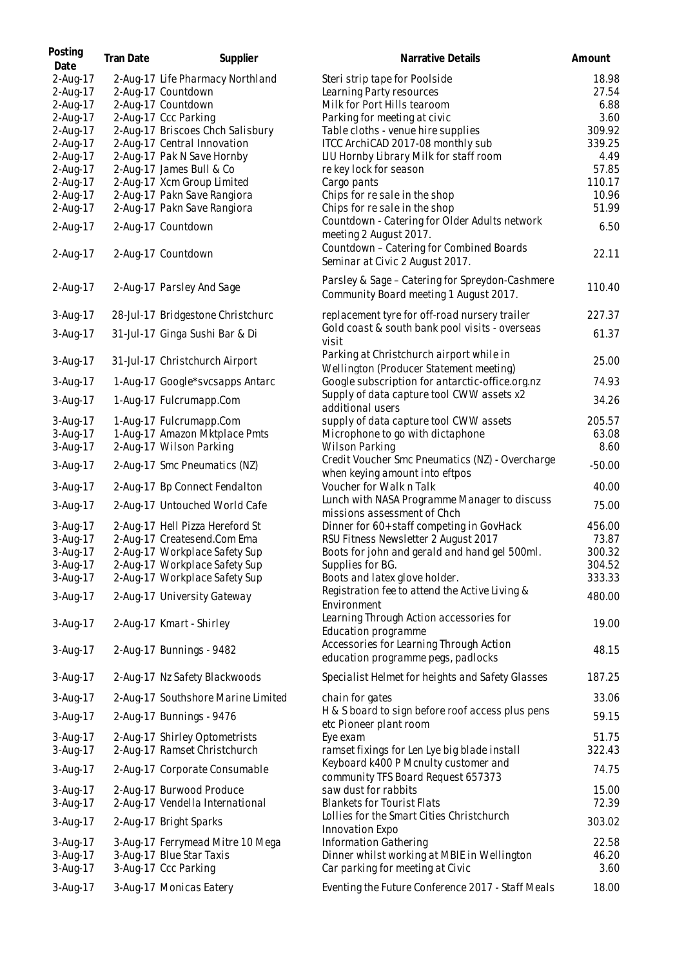| Posting<br>Date | <b>Tran Date</b> | Supplier                           | Narrative Details                                                                         | Amount   |
|-----------------|------------------|------------------------------------|-------------------------------------------------------------------------------------------|----------|
| 2-Aug-17        |                  | 2-Aug-17 Life Pharmacy Northland   | Steri strip tape for Poolside                                                             | 18.98    |
| 2-Aug-17        |                  | 2-Aug-17 Countdown                 | Learning Party resources                                                                  | 27.54    |
| 2-Aug-17        |                  | 2-Aug-17 Countdown                 | Milk for Port Hills tearoom                                                               | 6.88     |
| 2-Aug-17        |                  | 2-Aug-17 Ccc Parking               | Parking for meeting at civic                                                              | 3.60     |
| 2-Aug-17        |                  | 2-Aug-17 Briscoes Chch Salisbury   | Table cloths - venue hire supplies                                                        | 309.92   |
| 2-Aug-17        |                  | 2-Aug-17 Central Innovation        | ITCC ArchiCAD 2017-08 monthly sub                                                         | 339.25   |
| 2-Aug-17        |                  | 2-Aug-17 Pak N Save Hornby         | LIU Hornby Library Milk for staff room                                                    | 4.49     |
| 2-Aug-17        |                  | 2-Aug-17 James Bull & Co           | re key lock for season                                                                    | 57.85    |
| 2-Aug-17        |                  | 2-Aug-17 Xcm Group Limited         | Cargo pants                                                                               | 110.17   |
| 2-Aug-17        |                  | 2-Aug-17 Pakn Save Rangiora        | Chips for resale in the shop                                                              | 10.96    |
| 2-Aug-17        |                  |                                    |                                                                                           | 51.99    |
|                 |                  | 2-Aug-17 Pakn Save Rangiora        | Chips for re sale in the shop                                                             |          |
| 2-Aug-17        |                  | 2-Aug-17 Countdown                 | Countdown - Catering for Older Adults network<br>meeting 2 August 2017.                   | 6.50     |
| 2-Aug-17        |                  | 2-Aug-17 Countdown                 | Countdown - Catering for Combined Boards<br>Seminar at Civic 2 August 2017.               | 22.11    |
| 2-Aug-17        |                  | 2-Aug-17 Parsley And Sage          | Parsley & Sage - Catering for Spreydon-Cashmere<br>Community Board meeting 1 August 2017. | 110.40   |
| 3-Aug-17        |                  | 28-Jul-17 Bridgestone Christchurc  | replacement tyre for off-road nursery trailer                                             | 227.37   |
|                 |                  |                                    | Gold coast & south bank pool visits - overseas                                            |          |
| 3-Aug-17        |                  | 31-Jul-17 Ginga Sushi Bar & Di     | visit<br>Parking at Christchurch airport while in                                         | 61.37    |
| 3-Aug-17        |                  | 31-Jul-17 Christchurch Airport     | Wellington (Producer Statement meeting)                                                   | 25.00    |
| 3-Aug-17        |                  | 1-Aug-17 Google*svcsapps Antarc    | Google subscription for antarctic-office.org.nz                                           | 74.93    |
| 3-Aug-17        |                  | 1-Aug-17 Fulcrumapp.Com            | Supply of data capture tool CWW assets x2<br>additional users                             | 34.26    |
| 3-Aug-17        |                  | 1-Aug-17 Fulcrumapp.Com            | supply of data capture tool CWW assets                                                    | 205.57   |
| 3-Aug-17        |                  | 1-Aug-17 Amazon Mktplace Pmts      | Microphone to go with dictaphone                                                          | 63.08    |
| 3-Aug-17        |                  | 2-Aug-17 Wilson Parking            | <b>Wilson Parking</b>                                                                     | 8.60     |
| 3-Aug-17        |                  | 2-Aug-17 Smc Pneumatics (NZ)       | Credit Voucher Smc Pneumatics (NZ) - Overcharge<br>when keying amount into eftpos         | $-50.00$ |
| 3-Aug-17        |                  | 2-Aug-17 Bp Connect Fendalton      | Voucher for Walk n Talk<br>Lunch with NASA Programme Manager to discuss                   | 40.00    |
| 3-Aug-17        |                  | 2-Aug-17 Untouched World Cafe      | missions assessment of Chch                                                               | 75.00    |
| 3-Aug-17        |                  | 2-Aug-17 Hell Pizza Hereford St    | Dinner for 60+ staff competing in GovHack                                                 | 456.00   |
| 3-Aug-17        |                  | 2-Aug-17 Createsend.Com Ema        | RSU Fitness Newsletter 2 August 2017                                                      | 73.87    |
| 3-Aug-17        |                  | 2-Aug-17 Workplace Safety Sup      | Boots for john and gerald and hand gel 500ml.                                             | 300.32   |
| 3-Aug-17        |                  | 2-Aug-17 Workplace Safety Sup      | Supplies for BG.                                                                          | 304.52   |
| 3-Aug-17        |                  | 2-Aug-17 Workplace Safety Sup      | Boots and latex glove holder.                                                             | 333.33   |
| 3-Aug-17        |                  | 2-Aug-17 University Gateway        | Registration fee to attend the Active Living &<br>Environment                             | 480.00   |
| 3-Aug-17        |                  | 2-Aug-17 Kmart - Shirley           | Learning Through Action accessories for<br>Education programme                            | 19.00    |
| 3-Aug-17        |                  | 2-Aug-17 Bunnings - 9482           | Accessories for Learning Through Action<br>education programme pegs, padlocks             | 48.15    |
| 3-Aug-17        |                  | 2-Aug-17 Nz Safety Blackwoods      | Specialist Helmet for heights and Safety Glasses                                          | 187.25   |
| 3-Aug-17        |                  | 2-Aug-17 Southshore Marine Limited | chain for gates<br>H & S board to sign before roof access plus pens                       | 33.06    |
| 3-Aug-17        |                  | 2-Aug-17 Bunnings - 9476           | etc Pioneer plant room                                                                    | 59.15    |
| 3-Aug-17        |                  | 2-Aug-17 Shirley Optometrists      | Eye exam                                                                                  | 51.75    |
| 3-Aug-17        |                  | 2-Aug-17 Ramset Christchurch       | ramset fixings for Len Lye big blade install                                              | 322.43   |
| 3-Aug-17        |                  | 2-Aug-17 Corporate Consumable      | Keyboard k400 P Mcnulty customer and<br>community TFS Board Request 657373                | 74.75    |
| 3-Aug-17        |                  | 2-Aug-17 Burwood Produce           | saw dust for rabbits                                                                      | 15.00    |
| 3-Aug-17        |                  | 2-Aug-17 Vendella International    | <b>Blankets for Tourist Flats</b>                                                         | 72.39    |
| 3-Aug-17        |                  | 2-Aug-17 Bright Sparks             | Lollies for the Smart Cities Christchurch<br>Innovation Expo                              | 303.02   |
| 3-Aug-17        |                  | 3-Aug-17 Ferrymead Mitre 10 Mega   | Information Gathering                                                                     | 22.58    |
| 3-Aug-17        |                  | 3-Aug-17 Blue Star Taxis           | Dinner whilst working at MBIE in Wellington                                               | 46.20    |
| 3-Aug-17        |                  | 3-Aug-17 Ccc Parking               | Car parking for meeting at Civic                                                          | 3.60     |
|                 |                  |                                    |                                                                                           |          |
| 3-Aug-17        |                  | 3-Aug-17 Monicas Eatery            | Eventing the Future Conference 2017 - Staff Meals                                         | 18.00    |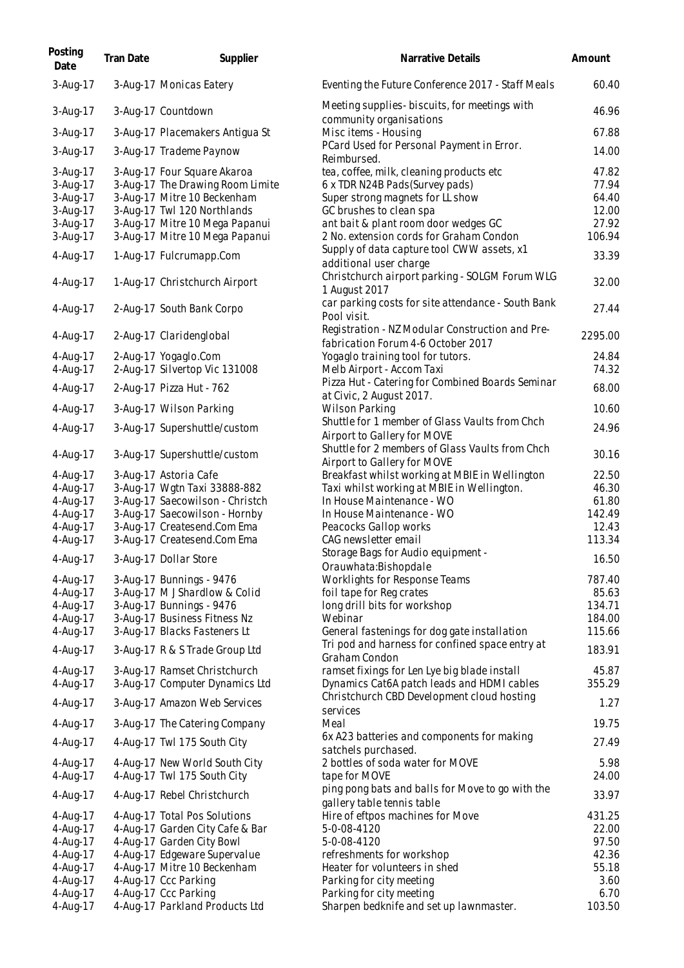| Posting<br>Date      | Tran Date | Supplier                                                       | <b>Narrative Details</b>                                                                   | Amount          |
|----------------------|-----------|----------------------------------------------------------------|--------------------------------------------------------------------------------------------|-----------------|
| 3-Aug-17             |           | 3-Aug-17 Monicas Eatery                                        | Eventing the Future Conference 2017 - Staff Meals                                          | 60.40           |
| 3-Aug-17             |           | 3-Aug-17 Countdown                                             | Meeting supplies - biscuits, for meetings with<br>community organisations                  | 46.96           |
| 3-Aug-17             |           | 3-Aug-17 Placemakers Antigua St                                | Misc items - Housing                                                                       | 67.88           |
| 3-Aug-17             |           | 3-Aug-17 Trademe Paynow                                        | PCard Used for Personal Payment in Error.<br>Reimbursed.                                   | 14.00           |
| 3-Aug-17             |           | 3-Aug-17 Four Square Akaroa                                    | tea, coffee, milk, cleaning products etc                                                   | 47.82           |
| 3-Aug-17             |           | 3-Aug-17 The Drawing Room Limite                               | 6 x TDR N24B Pads (Survey pads)                                                            | 77.94           |
| 3-Aug-17             |           | 3-Aug-17 Mitre 10 Beckenham                                    | Super strong magnets for LL show                                                           | 64.40           |
| 3-Aug-17             |           | 3-Aug-17 Twl 120 Northlands                                    | GC brushes to clean spa                                                                    | 12.00           |
| 3-Aug-17             |           | 3-Aug-17 Mitre 10 Mega Papanui                                 | ant bait & plant room door wedges GC                                                       | 27.92           |
| 3-Aug-17             |           | 3-Aug-17 Mitre 10 Mega Papanui                                 | 2 No. extension cords for Graham Condon                                                    | 106.94          |
| 4-Aug-17             |           | 1-Aug-17 Fulcrumapp.Com                                        | Supply of data capture tool CWW assets, x1<br>additional user charge                       | 33.39           |
| 4-Aug-17             |           | 1-Aug-17 Christchurch Airport                                  | Christchurch airport parking - SOLGM Forum WLG<br>1 August 2017                            | 32.00           |
| 4-Aug-17             |           | 2-Aug-17 South Bank Corpo                                      | car parking costs for site attendance - South Bank<br>Pool visit.                          | 27.44           |
| 4-Aug-17             |           | 2-Aug-17 Claridenglobal                                        | Registration - NZ Modular Construction and Pre-<br>fabrication Forum 4-6 October 2017      | 2295.00         |
| 4-Aug-17             |           | 2-Aug-17 Yogaglo.Com                                           | Yogaglo training tool for tutors.                                                          | 24.84           |
| 4-Aug-17             |           | 2-Aug-17 Silvertop Vic 131008                                  | Melb Airport - Accom Taxi                                                                  | 74.32           |
| 4-Aug-17             |           | 2-Aug-17 Pizza Hut - 762                                       | Pizza Hut - Catering for Combined Boards Seminar<br>at Civic, 2 August 2017.               | 68.00           |
| 4-Aug-17             |           | 3-Aug-17 Wilson Parking                                        | <b>Wilson Parking</b>                                                                      | 10.60           |
| 4-Aug-17             |           | 3-Aug-17 Supershuttle/custom                                   | Shuttle for 1 member of Glass Vaults from Chch<br>Airport to Gallery for MOVE              | 24.96           |
| 4-Aug-17             |           | 3-Aug-17 Supershuttle/custom                                   | Shuttle for 2 members of Glass Vaults from Chch<br>Airport to Gallery for MOVE             | 30.16           |
| 4-Aug-17             |           | 3-Aug-17 Astoria Cafe                                          | Breakfast whilst working at MBIE in Wellington                                             | 22.50           |
| 4-Aug-17             |           | 3-Aug-17 Wgtn Taxi 33888-882                                   | Taxi whilst working at MBIE in Wellington.                                                 | 46.30           |
| 4-Aug-17             |           | 3-Aug-17 Saecowilson - Christch                                | In House Maintenance - WO                                                                  | 61.80           |
| 4-Aug-17             |           | 3-Aug-17 Saecowilson - Hornby                                  | In House Maintenance - WO                                                                  | 142.49          |
| 4-Aug-17             |           | 3-Aug-17 Createsend.Com Ema                                    | Peacocks Gallop works                                                                      | 12.43           |
| 4-Aug-17             |           | 3-Aug-17 Createsend.Com Ema                                    | CAG newsletter email                                                                       | 113.34          |
| 4-Aug-17             |           | 3-Aug-17 Dollar Store                                          | Storage Bags for Audio equipment -<br>Orauwhata:Bishopdale                                 | 16.50           |
| 4-Aug-17             |           | 3-Aug-17 Bunnings - 9476                                       | Worklights for Response Teams                                                              | 787.40          |
| 4-Aug-17             |           | 3-Aug-17 M J Shardlow & Colid                                  | foil tape for Reg crates                                                                   | 85.63           |
| 4-Aug-17             |           | 3-Aug-17 Bunnings - 9476                                       | long drill bits for workshop                                                               | 134.71          |
| 4-Aug-17             |           | 3-Aug-17 Business Fitness Nz                                   | Webinar                                                                                    | 184.00          |
| 4-Aug-17             |           | 3-Aug-17 Blacks Fasteners Lt                                   | General fastenings for dog gate installation                                               | 115.66          |
| 4-Aug-17             |           | 3-Aug-17 R & S Trade Group Ltd                                 | Tri pod and harness for confined space entry at<br>Graham Condon                           | 183.91          |
| 4-Aug-17<br>4-Aug-17 |           | 3-Aug-17 Ramset Christchurch<br>3-Aug-17 Computer Dynamics Ltd | ramset fixings for Len Lye big blade install<br>Dynamics Cat6A patch leads and HDMI cables | 45.87<br>355.29 |
| 4-Aug-17             |           | 3-Aug-17 Amazon Web Services                                   | Christchurch CBD Development cloud hosting                                                 | 1.27            |
| 4-Aug-17             |           | 3-Aug-17 The Catering Company                                  | services<br>Meal                                                                           | 19.75           |
| 4-Aug-17             |           | 4-Aug-17 Twl 175 South City                                    | 6x A23 batteries and components for making<br>satchels purchased.                          | 27.49           |
| 4-Aug-17             |           | 4-Aug-17 New World South City                                  | 2 bottles of soda water for MOVE                                                           | 5.98            |
| 4-Aug-17             |           | 4-Aug-17 Twl 175 South City                                    | tape for MOVE<br>ping pong bats and balls for Move to go with the                          | 24.00<br>33.97  |
| 4-Aug-17<br>4-Aug-17 |           | 4-Aug-17 Rebel Christchurch<br>4-Aug-17 Total Pos Solutions    | gallery table tennis table<br>Hire of eftpos machines for Move                             | 431.25          |
| 4-Aug-17             |           | 4-Aug-17 Garden City Cafe & Bar                                | 5-0-08-4120                                                                                | 22.00           |
| 4-Aug-17             |           | 4-Aug-17 Garden City Bowl                                      | 5-0-08-4120                                                                                | 97.50           |
| 4-Aug-17             |           | 4-Aug-17 Edgeware Supervalue                                   | refreshments for workshop                                                                  | 42.36           |
| 4-Aug-17             |           | 4-Aug-17 Mitre 10 Beckenham                                    | Heater for volunteers in shed                                                              | 55.18           |
| 4-Aug-17             |           | 4-Aug-17 Ccc Parking                                           | Parking for city meeting                                                                   | 3.60            |
| 4-Aug-17             |           | 4-Aug-17 Ccc Parking                                           | Parking for city meeting                                                                   | 6.70            |
| 4-Aug-17             |           | 4-Aug-17 Parkland Products Ltd                                 | Sharpen bedknife and set up lawnmaster.                                                    | 103.50          |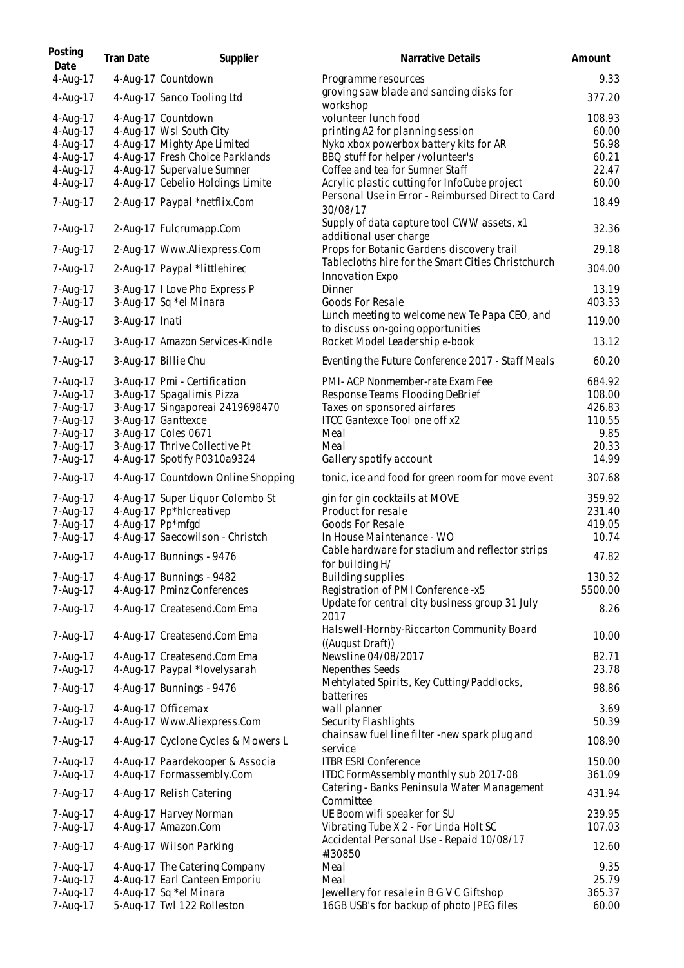| Posting<br>Date                              | <b>Tran Date</b> | Supplier                                                                                                           | Narrative Details                                                                                                                       | Amount                               |
|----------------------------------------------|------------------|--------------------------------------------------------------------------------------------------------------------|-----------------------------------------------------------------------------------------------------------------------------------------|--------------------------------------|
| 4-Aug-17                                     |                  | 4-Aug-17 Countdown                                                                                                 | Programme resources<br>groving saw blade and sanding disks for                                                                          | 9.33                                 |
| 4-Aug-17                                     |                  | 4-Aug-17 Sanco Tooling Ltd                                                                                         | workshop                                                                                                                                | 377.20                               |
| 4-Aug-17<br>4-Aug-17<br>4-Aug-17<br>4-Aug-17 |                  | 4-Aug-17 Countdown<br>4-Aug-17 Wsl South City<br>4-Aug-17 Mighty Ape Limited<br>4-Aug-17 Fresh Choice Parklands    | volunteer lunch food<br>printing A2 for planning session<br>Nyko xbox powerbox battery kits for AR<br>BBQ stuff for helper /volunteer's | 108.93<br>60.00<br>56.98<br>60.21    |
| 4-Aug-17<br>4-Aug-17                         |                  | 4-Aug-17 Supervalue Sumner<br>4-Aug-17 Cebelio Holdings Limite                                                     | Coffee and tea for Sumner Staff<br>Acrylic plastic cutting for InfoCube project                                                         | 22.47<br>60.00                       |
| 7-Aug-17                                     |                  | 2-Aug-17 Paypal *netflix.Com                                                                                       | Personal Use in Error - Reimbursed Direct to Card<br>30/08/17<br>Supply of data capture tool CWW assets, x1                             | 18.49                                |
| 7-Aug-17                                     |                  | 2-Aug-17 Fulcrumapp.Com                                                                                            | additional user charge                                                                                                                  | 32.36                                |
| 7-Aug-17                                     |                  | 2-Aug-17 Www.Aliexpress.Com                                                                                        | Props for Botanic Gardens discovery trail<br>Tablecloths hire for the Smart Cities Christchurch                                         | 29.18                                |
| 7-Aug-17<br>7-Aug-17                         |                  | 2-Aug-17 Paypal *littlehirec                                                                                       | Innovation Expo                                                                                                                         | 304.00<br>13.19                      |
| 7-Aug-17                                     |                  | 3-Aug-17 I Love Pho Express P<br>3-Aug-17 Sq *el Minara                                                            | Dinner<br>Goods For Resale<br>Lunch meeting to welcome new Te Papa CEO, and                                                             | 403.33                               |
| 7-Aug-17                                     | 3-Aug-17 Inati   |                                                                                                                    | to discuss on-going opportunities                                                                                                       | 119.00                               |
| 7-Aug-17                                     |                  | 3-Aug-17 Amazon Services-Kindle                                                                                    | Rocket Model Leadership e-book                                                                                                          | 13.12                                |
| 7-Aug-17                                     |                  | 3-Aug-17 Billie Chu                                                                                                | Eventing the Future Conference 2017 - Staff Meals                                                                                       | 60.20                                |
| 7-Aug-17<br>7-Aug-17<br>7-Aug-17<br>7-Aug-17 |                  | 3-Aug-17 Pmi - Certification<br>3-Aug-17 Spagalimis Pizza<br>3-Aug-17 Singaporeai 2419698470<br>3-Aug-17 Ganttexce | PMI- ACP Nonmember-rate Exam Fee<br>Response Teams Flooding DeBrief<br>Taxes on sponsored airfares<br>ITCC Gantexce Tool one off x2     | 684.92<br>108.00<br>426.83<br>110.55 |
| 7-Aug-17<br>7-Aug-17<br>7-Aug-17             |                  | 3-Aug-17 Coles 0671<br>3-Aug-17 Thrive Collective Pt<br>4-Aug-17 Spotify P0310a9324                                | Meal<br>Meal<br>Gallery spotify account                                                                                                 | 9.85<br>20.33<br>14.99               |
| 7-Aug-17                                     |                  | 4-Aug-17 Countdown Online Shopping                                                                                 | tonic, ice and food for green room for move event                                                                                       | 307.68                               |
| 7-Aug-17<br>7-Aug-17<br>7-Aug-17<br>7-Aug-17 |                  | 4-Aug-17 Super Liquor Colombo St<br>4-Aug-17 Pp*hlcreativep<br>4-Aug-17 Pp*mfgd<br>4-Aug-17 Saecowilson - Christch | gin for gin cocktails at MOVE<br>Product for resale<br>Goods For Resale<br>In House Maintenance - WO                                    | 359.92<br>231.40<br>419.05<br>10.74  |
| 7-Aug-17                                     |                  | 4-Aug-17 Bunnings - 9476                                                                                           | Cable hardware for stadium and reflector strips<br>for building H/                                                                      | 47.82                                |
| 7-Aug-17<br>7-Aug-17                         |                  | 4-Aug-17 Bunnings - 9482<br>4-Aug-17 Pminz Conferences                                                             | Building supplies<br>Registration of PMI Conference -x5                                                                                 | 130.32<br>5500.00                    |
| 7-Aug-17                                     |                  | 4-Aug-17 Createsend.Com Ema                                                                                        | Update for central city business group 31 July<br>2017                                                                                  | 8.26                                 |
| 7-Aug-17                                     |                  | 4-Aug-17 Createsend.Com Ema                                                                                        | Halswell-Hornby-Riccarton Community Board<br>((August Draft))                                                                           | 10.00                                |
| 7-Aug-17<br>7-Aug-17                         |                  | 4-Aug-17 Createsend.Com Ema<br>4-Aug-17 Paypal *lovelysarah                                                        | Newsline 04/08/2017<br>Nepenthes Seeds                                                                                                  | 82.71<br>23.78                       |
| 7-Aug-17                                     |                  | 4-Aug-17 Bunnings - 9476                                                                                           | Mehtylated Spirits, Key Cutting/Paddlocks,<br>batterires                                                                                | 98.86                                |
| 7-Aug-17<br>7-Aug-17                         |                  | 4-Aug-17 Officemax<br>4-Aug-17 Www.Aliexpress.Com                                                                  | wall planner<br>Security Flashlights                                                                                                    | 3.69<br>50.39                        |
| 7-Aug-17                                     |                  | 4-Aug-17 Cyclone Cycles & Mowers L                                                                                 | chainsaw fuel line filter -new spark plug and<br>service                                                                                | 108.90                               |
| 7-Aug-17<br>7-Aug-17                         |                  | 4-Aug-17 Paardekooper & Associa<br>4-Aug-17 Formassembly.Com                                                       | <b>ITBR ESRI Conference</b><br>ITDC FormAssembly monthly sub 2017-08                                                                    | 150.00<br>361.09                     |
| 7-Aug-17                                     |                  | 4-Aug-17 Relish Catering                                                                                           | Catering - Banks Peninsula Water Management<br>Committee                                                                                | 431.94                               |
| 7-Aug-17<br>7-Aug-17                         |                  | 4-Aug-17 Harvey Norman<br>4-Aug-17 Amazon.Com                                                                      | UE Boom wifi speaker for SU<br>Vibrating Tube X 2 - For Linda Holt SC                                                                   | 239.95<br>107.03                     |
| 7-Aug-17                                     |                  | 4-Aug-17 Wilson Parking                                                                                            | Accidental Personal Use - Repaid 10/08/17<br>#130850                                                                                    | 12.60                                |
| 7-Aug-17<br>7-Aug-17<br>7-Aug-17             |                  | 4-Aug-17 The Catering Company<br>4-Aug-17 Earl Canteen Emporiu<br>4-Aug-17 Sq *el Minara                           | Meal<br>Meal<br>Jewellery for resale in B G V C Giftshop                                                                                | 9.35<br>25.79<br>365.37              |
| 7-Aug-17                                     |                  | 5-Aug-17 Twl 122 Rolleston                                                                                         | 16GB USB's for backup of photo JPEG files                                                                                               | 60.00                                |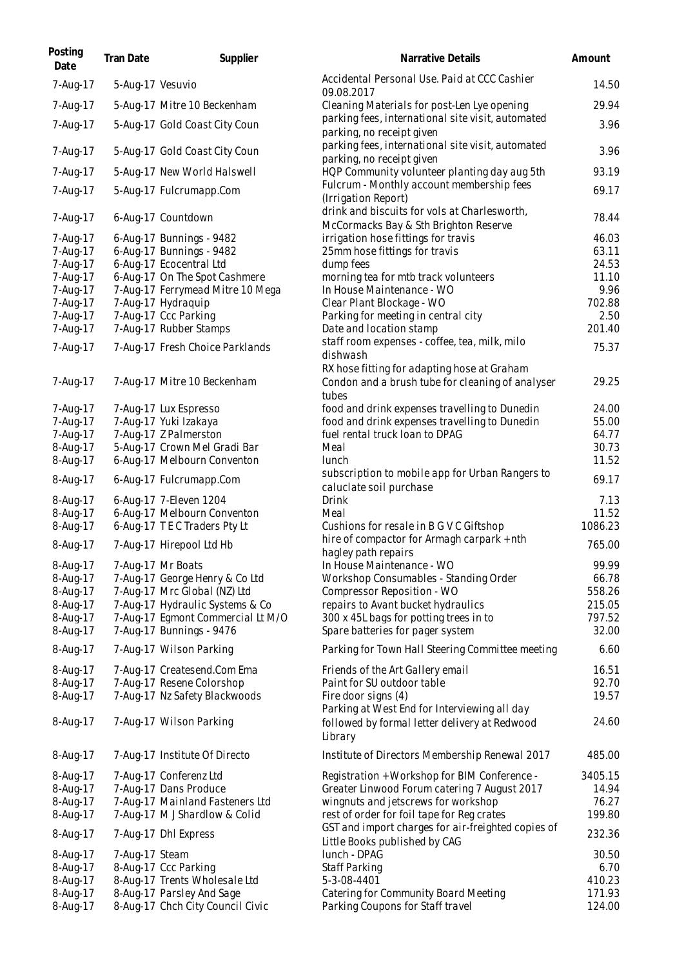| Posting<br>Date      | Tran Date        | Supplier                                                      | Narrative Details                                                                     | Amount           |
|----------------------|------------------|---------------------------------------------------------------|---------------------------------------------------------------------------------------|------------------|
| 7-Aug-17             | 5-Aug-17 Vesuvio |                                                               | Accidental Personal Use. Paid at CCC Cashier<br>09.08.2017                            | 14.50            |
| 7-Aug-17             |                  | 5-Aug-17 Mitre 10 Beckenham                                   | Cleaning Materials for post-Len Lye opening                                           | 29.94            |
| 7-Aug-17             |                  | 5-Aug-17 Gold Coast City Coun                                 | parking fees, international site visit, automated<br>parking, no receipt given        | 3.96             |
| 7-Aug-17             |                  | 5-Aug-17 Gold Coast City Coun                                 | parking fees, international site visit, automated<br>parking, no receipt given        | 3.96             |
| 7-Aug-17             |                  | 5-Aug-17 New World Halswell                                   | HQP Community volunteer planting day aug 5th                                          | 93.19            |
| 7-Aug-17             |                  | 5-Aug-17 Fulcrumapp.Com                                       | Fulcrum - Monthly account membership fees<br>(Irrigation Report)                      | 69.17            |
| 7-Aug-17             |                  | 6-Aug-17 Countdown                                            | drink and biscuits for vols at Charlesworth,<br>McCormacks Bay & Sth Brighton Reserve | 78.44            |
| 7-Aug-17             |                  | 6-Aug-17 Bunnings - 9482                                      | irrigation hose fittings for travis                                                   | 46.03            |
| 7-Aug-17             |                  | 6-Aug-17 Bunnings - 9482                                      | 25mm hose fittings for travis                                                         | 63.11            |
| 7-Aug-17             |                  | 6-Aug-17 Ecocentral Ltd                                       | dump fees                                                                             | 24.53            |
| 7-Aug-17             |                  | 6-Aug-17 On The Spot Cashmere                                 | morning tea for mtb track volunteers                                                  | 11.10            |
| 7-Aug-17             |                  | 7-Aug-17 Ferrymead Mitre 10 Mega                              | In House Maintenance - WO                                                             | 9.96             |
| 7-Aug-17<br>7-Aug-17 |                  | 7-Aug-17 Hydraguip<br>7-Aug-17 Ccc Parking                    | Clear Plant Blockage - WO                                                             | 702.88<br>2.50   |
| 7-Aug-17             |                  | 7-Aug-17 Rubber Stamps                                        | Parking for meeting in central city<br>Date and location stamp                        | 201.40           |
|                      |                  |                                                               | staff room expenses - coffee, tea, milk, milo                                         |                  |
| 7-Aug-17             |                  | 7-Aug-17 Fresh Choice Parklands                               | dishwash<br>RX hose fitting for adapting hose at Graham                               | 75.37            |
| 7-Aug-17             |                  | 7-Aug-17 Mitre 10 Beckenham                                   | Condon and a brush tube for cleaning of analyser<br>tubes                             | 29.25            |
| 7-Aug-17             |                  | 7-Aug-17 Lux Espresso                                         | food and drink expenses travelling to Dunedin                                         | 24.00            |
| 7-Aug-17             |                  | 7-Aug-17 Yuki Izakaya                                         | food and drink expenses travelling to Dunedin                                         | 55.00            |
| 7-Aug-17             |                  | 7-Aug-17 Z Palmerston                                         | fuel rental truck loan to DPAG                                                        | 64.77            |
| 8-Aug-17             |                  | 5-Aug-17 Crown Mel Gradi Bar                                  | Meal                                                                                  | 30.73            |
| 8-Aug-17             |                  | 6-Aug-17 Melbourn Conventon                                   | lunch                                                                                 | 11.52            |
| 8-Aug-17             |                  | 6-Aug-17 Fulcrumapp.Com                                       | subscription to mobile app for Urban Rangers to<br>caluclate soil purchase            | 69.17            |
| 8-Aug-17             |                  | 6-Aug-17 7-Eleven 1204                                        | Drink                                                                                 | 7.13             |
| 8-Aug-17             |                  | 6-Aug-17 Melbourn Conventon                                   | Meal                                                                                  | 11.52            |
| 8-Aug-17             |                  | 6-Aug-17 TEC Traders Pty Lt                                   | Cushions for resale in B G V C Giftshop                                               | 1086.23          |
| 8-Aug-17             |                  | 7-Aug-17 Hirepool Ltd Hb                                      | hire of compactor for Armagh carpark + nth<br>hagley path repairs                     | 765.00           |
| 8-Aug-17             |                  | 7-Aug-17 Mr Boats                                             | In House Maintenance - WO                                                             | 99.99            |
| 8-Aug-17             |                  | 7-Aug-17 George Henry & Co Ltd                                | Workshop Consumables - Standing Order                                                 | 66.78            |
| 8-Aug-17             |                  | 7-Aug-17 Mrc Global (NZ) Ltd                                  | Compressor Reposition - WO                                                            | 558.26           |
| 8-Aug-17             |                  | 7-Aug-17 Hydraulic Systems & Co                               | repairs to Avant bucket hydraulics                                                    | 215.05<br>797.52 |
| 8-Aug-17<br>8-Aug-17 |                  | 7-Aug-17 Egmont Commercial Lt M/O<br>7-Aug-17 Bunnings - 9476 | 300 x 45L bags for potting trees in to<br>Spare batteries for pager system            | 32.00            |
| 8-Aug-17             |                  | 7-Aug-17 Wilson Parking                                       | Parking for Town Hall Steering Committee meeting                                      | 6.60             |
| 8-Aug-17             |                  | 7-Aug-17 Createsend.Com Ema                                   | Friends of the Art Gallery email                                                      | 16.51            |
| 8-Aug-17             |                  | 7-Aug-17 Resene Colorshop                                     | Paint for SU outdoor table                                                            | 92.70            |
| 8-Aug-17             |                  | 7-Aug-17 Nz Safety Blackwoods                                 | Fire door signs (4)                                                                   | 19.57            |
|                      |                  |                                                               | Parking at West End for Interviewing all day                                          |                  |
| 8-Aug-17             |                  | 7-Aug-17 Wilson Parking                                       | followed by formal letter delivery at Redwood<br>Library                              | 24.60            |
| 8-Aug-17             |                  | 7-Aug-17 Institute Of Directo                                 | Institute of Directors Membership Renewal 2017                                        | 485.00           |
| 8-Aug-17             |                  | 7-Aug-17 Conferenz Ltd                                        | Registration + Workshop for BIM Conference -                                          | 3405.15          |
| 8-Aug-17             |                  | 7-Aug-17 Dans Produce                                         | Greater Linwood Forum catering 7 August 2017                                          | 14.94            |
| 8-Aug-17             |                  | 7-Aug-17 Mainland Fasteners Ltd                               | wingnuts and jetscrews for workshop                                                   | 76.27            |
| 8-Aug-17             |                  | 7-Aug-17 M J Shardlow & Colid                                 | rest of order for foil tape for Reg crates                                            | 199.80           |
| 8-Aug-17             |                  | 7-Aug-17 Dhl Express                                          | GST and import charges for air-freighted copies of<br>Little Books published by CAG   | 232.36           |
| 8-Aug-17             | 7-Aug-17 Steam   |                                                               | lunch - DPAG                                                                          | 30.50            |
| 8-Aug-17             |                  | 8-Aug-17 Ccc Parking                                          | Staff Parking                                                                         | 6.70             |
| 8-Aug-17             |                  | 8-Aug-17 Trents Wholesale Ltd                                 | 5-3-08-4401                                                                           | 410.23           |
| 8-Aug-17             |                  | 8-Aug-17 Parsley And Sage                                     | Catering for Community Board Meeting                                                  | 171.93           |
| 8-Aug-17             |                  | 8-Aug-17 Chch City Council Civic                              | Parking Coupons for Staff travel                                                      | 124.00           |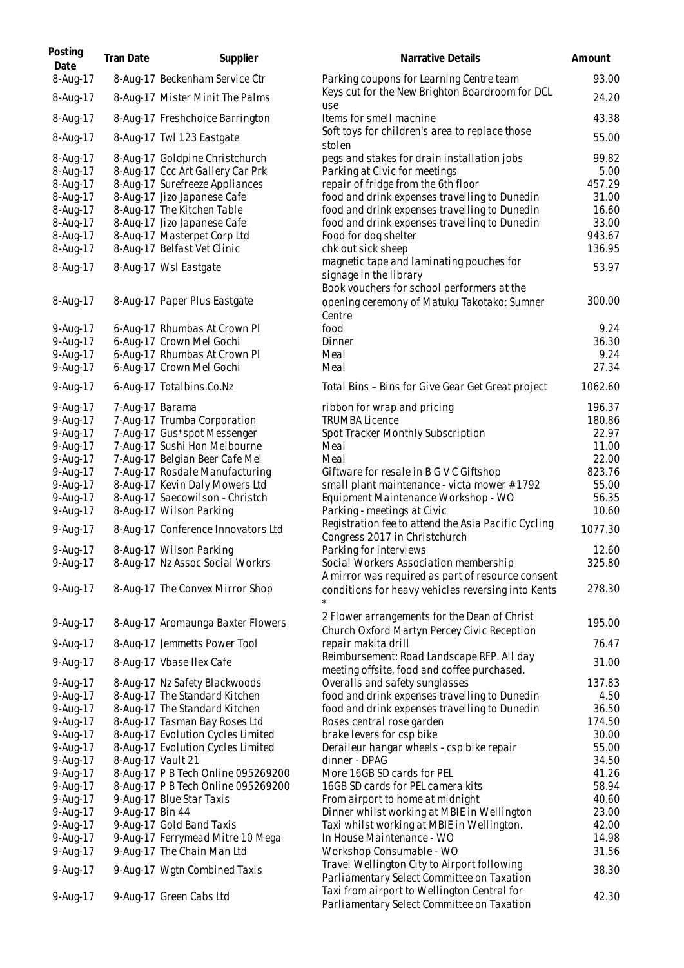| Posting<br>Date      | <b>Tran Date</b>  | Supplier                                                           | Narrative Details                                                                         | Amount         |
|----------------------|-------------------|--------------------------------------------------------------------|-------------------------------------------------------------------------------------------|----------------|
| 8-Aug-17             |                   | 8-Aug-17 Beckenham Service Ctr                                     | Parking coupons for Learning Centre team                                                  | 93.00          |
| 8-Aug-17             |                   | 8-Aug-17 Mister Minit The Palms                                    | Keys cut for the New Brighton Boardroom for DCL<br>use                                    | 24.20          |
| 8-Aug-17             |                   | 8-Aug-17 Freshchoice Barrington                                    | Items for smell machine                                                                   | 43.38          |
| 8-Aug-17             |                   | 8-Aug-17 Twl 123 Eastgate                                          | Soft toys for children's area to replace those<br>stolen                                  | 55.00          |
| 8-Aug-17             |                   | 8-Aug-17 Goldpine Christchurch                                     | pegs and stakes for drain installation jobs                                               | 99.82          |
| 8-Aug-17<br>8-Aug-17 |                   | 8-Aug-17 Ccc Art Gallery Car Prk<br>8-Aug-17 Surefreeze Appliances | Parking at Civic for meetings<br>repair of fridge from the 6th floor                      | 5.00<br>457.29 |
| 8-Aug-17             |                   | 8-Aug-17 Jizo Japanese Cafe                                        | food and drink expenses travelling to Dunedin                                             | 31.00          |
| 8-Aug-17             |                   | 8-Aug-17 The Kitchen Table                                         | food and drink expenses travelling to Dunedin                                             | 16.60          |
| 8-Aug-17             |                   | 8-Aug-17 Jizo Japanese Cafe                                        | food and drink expenses travelling to Dunedin                                             | 33.00          |
| 8-Aug-17             |                   | 8-Aug-17 Masterpet Corp Ltd                                        | Food for dog shelter                                                                      | 943.67         |
| 8-Aug-17             |                   | 8-Aug-17 Belfast Vet Clinic                                        | chk out sick sheep                                                                        | 136.95         |
| 8-Aug-17             |                   | 8-Aug-17 Wsl Eastgate                                              | magnetic tape and laminating pouches for                                                  | 53.97          |
|                      |                   |                                                                    | signage in the library                                                                    |                |
| 8-Aug-17             |                   | 8-Aug-17 Paper Plus Eastgate                                       | Book vouchers for school performers at the<br>opening ceremony of Matuku Takotako: Sumner | 300.00         |
|                      |                   |                                                                    | Centre                                                                                    |                |
| 9-Aug-17             |                   | 6-Aug-17 Rhumbas At Crown Pl                                       | food                                                                                      | 9.24           |
| 9-Aug-17             |                   | 6-Aug-17 Crown Mel Gochi                                           | Dinner                                                                                    | 36.30          |
| 9-Aug-17             |                   | 6-Aug-17 Rhumbas At Crown Pl                                       | Meal                                                                                      | 9.24           |
| 9-Aug-17             |                   | 6-Aug-17 Crown Mel Gochi                                           | Meal                                                                                      | 27.34          |
| 9-Aug-17             |                   | 6-Aug-17 Totalbins.Co.Nz                                           | Total Bins - Bins for Give Gear Get Great project                                         | 1062.60        |
| 9-Aug-17             | 7-Aug-17 Barama   |                                                                    | ribbon for wrap and pricing                                                               | 196.37         |
| 9-Aug-17             |                   | 7-Aug-17 Trumba Corporation                                        | <b>TRUMBA Licence</b>                                                                     | 180.86         |
| 9-Aug-17             |                   | 7-Aug-17 Gus*spot Messenger                                        | Spot Tracker Monthly Subscription                                                         | 22.97          |
| 9-Aug-17             |                   | 7-Aug-17 Sushi Hon Melbourne                                       | Meal                                                                                      | 11.00          |
| 9-Aug-17             |                   | 7-Aug-17 Belgian Beer Cafe Mel                                     | Meal                                                                                      | 22.00          |
| 9-Aug-17             |                   | 7-Aug-17 Rosdale Manufacturing                                     | Giftware for resale in B G V C Giftshop                                                   | 823.76         |
| 9-Aug-17             |                   | 8-Aug-17 Kevin Daly Mowers Ltd                                     | small plant maintenance - victa mower #1792                                               | 55.00          |
| 9-Aug-17<br>9-Aug-17 |                   | 8-Aug-17 Saecowilson - Christch<br>8-Aug-17 Wilson Parking         | Equipment Maintenance Workshop - WO<br>Parking - meetings at Civic                        | 56.35<br>10.60 |
| 9-Aug-17             |                   | 8-Aug-17 Conference Innovators Ltd                                 | Registration fee to attend the Asia Pacific Cycling                                       | 1077.30        |
| 9-Aug-17             |                   | 8-Aug-17 Wilson Parking                                            | Congress 2017 in Christchurch<br>Parking for interviews                                   | 12.60          |
| 9-Aug-17             |                   | 8-Aug-17 Nz Assoc Social Workrs                                    | Social Workers Association membership                                                     | 325.80         |
|                      |                   |                                                                    | A mirror was required as part of resource consent                                         |                |
| 9-Aug-17             |                   | 8-Aug-17 The Convex Mirror Shop                                    | conditions for heavy vehicles reversing into Kents                                        | 278.30         |
|                      |                   |                                                                    | 2 Flower arrangements for the Dean of Christ                                              |                |
| 9-Aug-17             |                   | 8-Aug-17 Aromaunga Baxter Flowers                                  | Church Oxford Martyn Percey Civic Reception                                               | 195.00         |
| 9-Aug-17             |                   | 8-Aug-17 Jemmetts Power Tool                                       | repair makita drill<br>Reimbursement: Road Landscape RFP. All day                         | 76.47          |
| 9-Aug-17             |                   | 8-Aug-17 Vbase Ilex Cafe                                           | meeting offsite, food and coffee purchased.                                               | 31.00          |
| 9-Aug-17             |                   | 8-Aug-17 Nz Safety Blackwoods                                      | Overalls and safety sunglasses                                                            | 137.83         |
| 9-Aug-17             |                   | 8-Aug-17 The Standard Kitchen                                      | food and drink expenses travelling to Dunedin                                             | 4.50           |
| 9-Aug-17             |                   | 8-Aug-17 The Standard Kitchen                                      | food and drink expenses travelling to Dunedin                                             | 36.50          |
| 9-Aug-17             |                   | 8-Aug-17 Tasman Bay Roses Ltd                                      | Roses central rose garden                                                                 | 174.50         |
| 9-Aug-17             |                   | 8-Aug-17 Evolution Cycles Limited                                  | brake levers for csp bike                                                                 | 30.00          |
| 9-Aug-17             |                   | 8-Aug-17 Evolution Cycles Limited                                  | Deraileur hangar wheels - csp bike repair                                                 | 55.00          |
| 9-Aug-17             | 8-Aug-17 Vault 21 |                                                                    | dinner - DPAG                                                                             | 34.50          |
| 9-Aug-17             |                   | 8-Aug-17 P B Tech Online 095269200                                 | More 16GB SD cards for PEL                                                                | 41.26          |
| 9-Aug-17             |                   | 8-Aug-17 P B Tech Online 095269200                                 | 16GB SD cards for PEL camera kits                                                         | 58.94          |
| 9-Aug-17<br>9-Aug-17 | 9-Aug-17 Bin 44   | 9-Aug-17 Blue Star Taxis                                           | From airport to home at midnight<br>Dinner whilst working at MBIE in Wellington           | 40.60<br>23.00 |
| 9-Aug-17             |                   | 9-Aug-17 Gold Band Taxis                                           | Taxi whilst working at MBIE in Wellington.                                                | 42.00          |
| 9-Aug-17             |                   | 9-Aug-17 Ferrymead Mitre 10 Mega                                   | In House Maintenance - WO                                                                 | 14.98          |
| 9-Aug-17             |                   | 9-Aug-17 The Chain Man Ltd                                         | Workshop Consumable - WO                                                                  | 31.56          |
| 9-Aug-17             |                   | 9-Aug-17 Wgtn Combined Taxis                                       | Travel Wellington City to Airport following                                               | 38.30          |
|                      |                   |                                                                    | Parliamentary Select Committee on Taxation                                                |                |
| 9-Aug-17             |                   | 9-Aug-17 Green Cabs Ltd                                            | Taxi from airport to Wellington Central for<br>Parliamentary Select Committee on Taxation | 42.30          |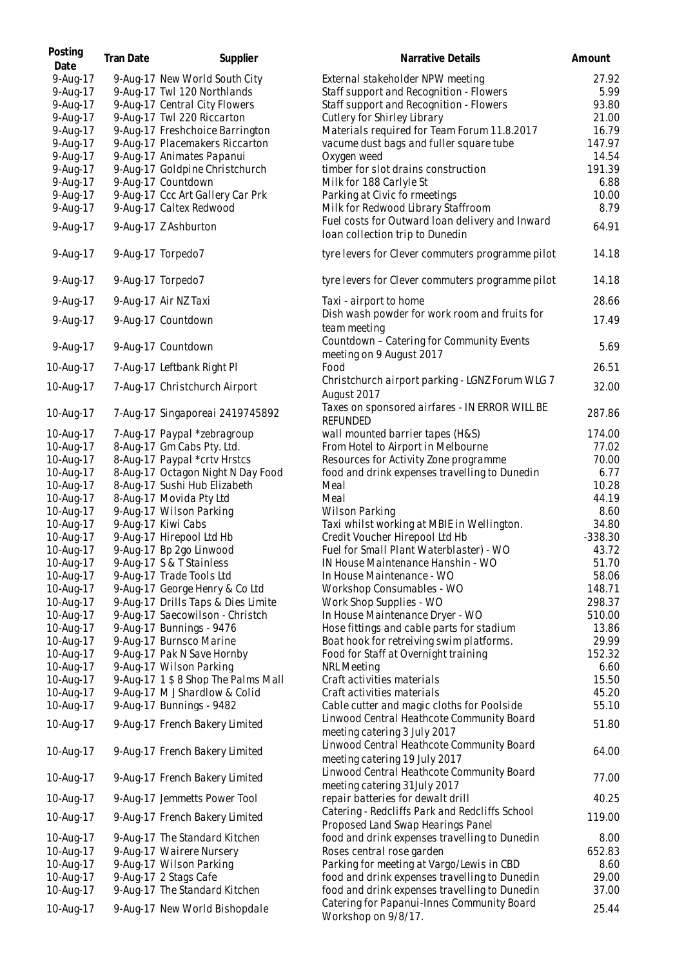| Posting<br>Date | Tran Date | Supplier                            | Narrative Details                                                                   | Amount    |
|-----------------|-----------|-------------------------------------|-------------------------------------------------------------------------------------|-----------|
| 9-Aug-17        |           | 9-Aug-17 New World South City       | External stakeholder NPW meeting                                                    | 27.92     |
| 9-Aug-17        |           | 9-Aug-17 Twl 120 Northlands         | Staff support and Recognition - Flowers                                             | 5.99      |
| 9-Aug-17        |           | 9-Aug-17 Central City Flowers       | Staff support and Recognition - Flowers                                             | 93.80     |
| 9-Aug-17        |           | 9-Aug-17 Twl 220 Riccarton          | Cutlery for Shirley Library                                                         | 21.00     |
| 9-Aug-17        |           | 9-Aug-17 Freshchoice Barrington     | Materials required for Team Forum 11.8.2017                                         | 16.79     |
| 9-Aug-17        |           | 9-Aug-17 Placemakers Riccarton      | vacume dust bags and fuller square tube                                             | 147.97    |
| 9-Aug-17        |           | 9-Aug-17 Animates Papanui           | Oxygen weed                                                                         | 14.54     |
| 9-Aug-17        |           | 9-Aug-17 Goldpine Christchurch      | timber for slot drains construction                                                 | 191.39    |
| 9-Aug-17        |           | 9-Aug-17 Countdown                  | Milk for 188 Carlyle St                                                             | 6.88      |
| 9-Aug-17        |           | 9-Aug-17 Ccc Art Gallery Car Prk    | Parking at Civic fo rmeetings                                                       | 10.00     |
| 9-Aug-17        |           | 9-Aug-17 Caltex Redwood             | Milk for Redwood Library Staffroom                                                  | 8.79      |
|                 |           |                                     | Fuel costs for Outward Ioan delivery and Inward                                     |           |
| 9-Aug-17        |           | 9-Aug-17 Z Ashburton                | Ioan collection trip to Dunedin                                                     | 64.91     |
| 9-Aug-17        |           | 9-Aug-17 Torpedo7                   | tyre levers for Clever commuters programme pilot                                    | 14.18     |
| 9-Aug-17        |           | 9-Aug-17 Torpedo7                   | tyre levers for Clever commuters programme pilot                                    | 14.18     |
| 9-Aug-17        |           | 9-Aug-17 Air NZ Taxi                | Taxi - airport to home                                                              | 28.66     |
| 9-Aug-17        |           | 9-Aug-17 Countdown                  | Dish wash powder for work room and fruits for<br>team meeting                       | 17.49     |
| 9-Aug-17        |           | 9-Aug-17 Countdown                  | Countdown - Catering for Community Events<br>meeting on 9 August 2017               | 5.69      |
| 10-Aug-17       |           | 7-Aug-17 Leftbank Right PI          | Food                                                                                | 26.51     |
|                 |           |                                     | Christchurch airport parking - LGNZ Forum WLG 7                                     |           |
| 10-Aug-17       |           | 7-Aug-17 Christchurch Airport       | August 2017<br>Taxes on sponsored airfares - IN ERROR WILL BE                       | 32.00     |
| 10-Aug-17       |           | 7-Aug-17 Singaporeai 2419745892     | <b>REFUNDED</b>                                                                     | 287.86    |
| 10-Aug-17       |           | 7-Aug-17 Paypal *zebragroup         | wall mounted barrier tapes (H&S)                                                    | 174.00    |
| 10-Aug-17       |           | 8-Aug-17 Gm Cabs Pty. Ltd.          | From Hotel to Airport in Melbourne                                                  | 77.02     |
| 10-Aug-17       |           | 8-Aug-17 Paypal *crtv Hrstcs        | Resources for Activity Zone programme                                               | 70.00     |
| 10-Aug-17       |           | 8-Aug-17 Octagon Night N Day Food   | food and drink expenses travelling to Dunedin                                       | 6.77      |
| 10-Aug-17       |           | 8-Aug-17 Sushi Hub Elizabeth        | Meal                                                                                | 10.28     |
| 10-Aug-17       |           | 8-Aug-17 Movida Pty Ltd             | Meal                                                                                | 44.19     |
| 10-Aug-17       |           | 9-Aug-17 Wilson Parking             | Wilson Parking                                                                      | 8.60      |
| 10-Aug-17       |           | 9-Aug-17 Kiwi Cabs                  | Taxi whilst working at MBIE in Wellington.                                          | 34.80     |
| 10-Aug-17       |           | 9-Aug-17 Hirepool Ltd Hb            | Credit Voucher Hirepool Ltd Hb                                                      | $-338.30$ |
| 10-Aug-17       |           | 9-Aug-17 Bp 2go Linwood             | Fuel for Small Plant Waterblaster) - WO                                             | 43.72     |
| 10-Aug-17       |           | 9-Aug-17 S & T Stainless            | IN House Maintenance Hanshin - WO                                                   | 51.70     |
| 10-Aug-17       |           | 9-Aug-17 Trade Tools Ltd            | In House Maintenance - WO                                                           | 58.06     |
| 10-Aug-17       |           | 9-Aug-17 George Henry & Co Ltd      | Workshop Consumables - WO                                                           | 148.71    |
| 10-Aug-17       |           | 9-Aug-17 Drills Taps & Dies Limite  | Work Shop Supplies - WO                                                             | 298.37    |
| 10-Aug-17       |           | 9-Aug-17 Saecowilson - Christch     | In House Maintenance Dryer - WO                                                     | 510.00    |
| 10-Aug-17       |           | 9-Aug-17 Bunnings - 9476            | Hose fittings and cable parts for stadium                                           | 13.86     |
| 10-Aug-17       |           | 9-Aug-17 Burnsco Marine             | Boat hook for retreiving swim platforms.                                            | 29.99     |
| 10-Aug-17       |           | 9-Aug-17 Pak N Save Hornby          | Food for Staff at Overnight training                                                | 152.32    |
| 10-Aug-17       |           | 9-Aug-17 Wilson Parking             | NRL Meeting                                                                         | 6.60      |
| 10-Aug-17       |           | 9-Aug-17 1 \$ 8 Shop The Palms Mall | Craft activities materials                                                          | 15.50     |
| 10-Aug-17       |           | 9-Aug-17 M J Shardlow & Colid       | Craft activities materials                                                          | 45.20     |
| 10-Aug-17       |           | 9-Aug-17 Bunnings - 9482            | Cable cutter and magic cloths for Poolside                                          | 55.10     |
| 10-Aug-17       |           | 9-Aug-17 French Bakery Limited      | Linwood Central Heathcote Community Board                                           | 51.80     |
| 10-Aug-17       |           | 9-Aug-17 French Bakery Limited      | meeting catering 3 July 2017<br>Linwood Central Heathcote Community Board           | 64.00     |
| 10-Aug-17       |           | 9-Aug-17 French Bakery Limited      | meeting catering 19 July 2017<br>Linwood Central Heathcote Community Board          | 77.00     |
| 10-Aug-17       |           | 9-Aug-17 Jemmetts Power Tool        | meeting catering 31 July 2017<br>repair batteries for dewalt drill                  | 40.25     |
| 10-Aug-17       |           | 9-Aug-17 French Bakery Limited      | Catering - Redcliffs Park and Redcliffs School<br>Proposed Land Swap Hearings Panel | 119.00    |
| 10-Aug-17       |           | 9-Aug-17 The Standard Kitchen       | food and drink expenses travelling to Dunedin                                       | 8.00      |
| 10-Aug-17       |           | 9-Aug-17 Wairere Nursery            | Roses central rose garden                                                           | 652.83    |
| 10-Aug-17       |           | 9-Aug-17 Wilson Parking             | Parking for meeting at Vargo/Lewis in CBD                                           | 8.60      |
| 10-Aug-17       |           | 9-Aug-17 2 Stags Cafe               | food and drink expenses travelling to Dunedin                                       | 29.00     |
| 10-Aug-17       |           | 9-Aug-17 The Standard Kitchen       | food and drink expenses travelling to Dunedin                                       | 37.00     |
|                 |           |                                     | Catering for Papanui-Innes Community Board                                          |           |
| 10-Aug-17       |           | 9-Aug-17 New World Bishopdale       | Workshop on 9/8/17.                                                                 | 25.44     |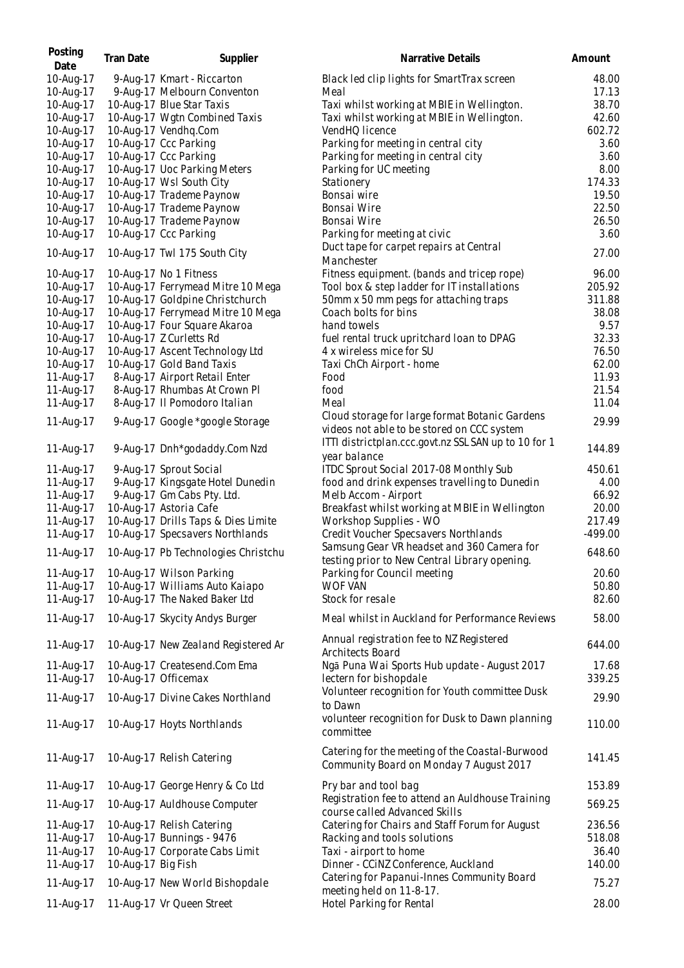| Posting<br>Date        | Tran Date          | Supplier                                             | Narrative Details                                                                           | Amount         |
|------------------------|--------------------|------------------------------------------------------|---------------------------------------------------------------------------------------------|----------------|
| 10-Aug-17              |                    | 9-Aug-17 Kmart - Riccarton                           | Black led clip lights for SmartTrax screen                                                  | 48.00          |
| 10-Aug-17              |                    | 9-Aug-17 Melbourn Conventon                          | Meal                                                                                        | 17.13          |
| 10-Aug-17              |                    | 10-Aug-17 Blue Star Taxis                            | Taxi whilst working at MBIE in Wellington.                                                  | 38.70          |
| 10-Aug-17              |                    | 10-Aug-17 Wgtn Combined Taxis                        | Taxi whilst working at MBIE in Wellington.                                                  | 42.60          |
| 10-Aug-17              |                    | 10-Aug-17 Vendhq.Com                                 | VendHQ licence                                                                              | 602.72         |
| 10-Aug-17              |                    | 10-Aug-17 Ccc Parking                                | Parking for meeting in central city                                                         | 3.60           |
| 10-Aug-17              |                    | 10-Aug-17 Ccc Parking                                | Parking for meeting in central city                                                         | 3.60           |
| 10-Aug-17              |                    | 10-Aug-17 Uoc Parking Meters                         | Parking for UC meeting                                                                      | 8.00           |
| 10-Aug-17              |                    | 10-Aug-17 Wsl South City                             | Stationery                                                                                  | 174.33         |
| 10-Aug-17<br>10-Aug-17 |                    | 10-Aug-17 Trademe Paynow<br>10-Aug-17 Trademe Paynow | Bonsai wire<br>Bonsai Wire                                                                  | 19.50<br>22.50 |
| 10-Aug-17              |                    | 10-Aug-17 Trademe Paynow                             | Bonsai Wire                                                                                 | 26.50          |
| 10-Aug-17              |                    | 10-Aug-17 Ccc Parking                                | Parking for meeting at civic                                                                | 3.60           |
|                        |                    |                                                      | Duct tape for carpet repairs at Central                                                     |                |
| 10-Aug-17              |                    | 10-Aug-17 Twl 175 South City                         | <b>Manchester</b>                                                                           | 27.00          |
| 10-Aug-17              |                    | 10-Aug-17 No 1 Fitness                               | Fitness equipment. (bands and tricep rope)                                                  | 96.00          |
| 10-Aug-17              |                    | 10-Aug-17 Ferrymead Mitre 10 Mega                    | Tool box & step ladder for IT installations                                                 | 205.92         |
| 10-Aug-17              |                    | 10-Aug-17 Goldpine Christchurch                      | 50mm x 50 mm pegs for attaching traps                                                       | 311.88         |
| 10-Aug-17              |                    | 10-Aug-17 Ferrymead Mitre 10 Mega                    | Coach bolts for bins                                                                        | 38.08          |
| 10-Aug-17              |                    | 10-Aug-17 Four Square Akaroa                         | hand towels                                                                                 | 9.57           |
| 10-Aug-17              |                    | 10-Aug-17 Z Curletts Rd                              | fuel rental truck upritchard loan to DPAG                                                   | 32.33          |
| 10-Aug-17              |                    | 10-Aug-17 Ascent Technology Ltd                      | 4 x wireless mice for SU                                                                    | 76.50          |
| 10-Aug-17              |                    | 10-Aug-17 Gold Band Taxis                            | Taxi ChCh Airport - home                                                                    | 62.00          |
| 11-Aug-17              |                    | 8-Aug-17 Airport Retail Enter                        | Food                                                                                        | 11.93          |
| 11-Aug-17              |                    | 8-Aug-17 Rhumbas At Crown Pl                         | food                                                                                        | 21.54          |
| 11-Aug-17              |                    | 8-Aug-17 Il Pomodoro Italian                         | Meal<br>Cloud storage for large format Botanic Gardens                                      | 11.04<br>29.99 |
| 11-Aug-17              |                    | 9-Aug-17 Google *google Storage                      | videos not able to be stored on CCC system                                                  |                |
| 11-Aug-17              |                    | 9-Aug-17 Dnh*godaddy.Com Nzd                         | ITTI districtplan.ccc.govt.nz SSL SAN up to 10 for 1<br>year balance                        | 144.89         |
| 11-Aug-17              |                    | 9-Aug-17 Sprout Social                               | ITDC Sprout Social 2017-08 Monthly Sub                                                      | 450.61         |
| 11-Aug-17              |                    | 9-Aug-17 Kingsgate Hotel Dunedin                     | food and drink expenses travelling to Dunedin                                               | 4.00           |
| 11-Aug-17              |                    | 9-Aug-17 Gm Cabs Pty. Ltd.                           | Melb Accom - Airport                                                                        | 66.92          |
| 11-Aug-17              |                    | 10-Aug-17 Astoria Cafe                               | Breakfast whilst working at MBIE in Wellington                                              | 20.00          |
| 11-Aug-17              |                    | 10-Aug-17 Drills Taps & Dies Limite                  | Workshop Supplies - WO                                                                      | 217.49         |
| 11-Aug-17              |                    | 10-Aug-17 Specsavers Northlands                      | Credit Voucher Specsavers Northlands                                                        | $-499.00$      |
| 11-Aug-17              |                    | 10-Aug-17 Pb Technologies Christchu                  | Samsung Gear VR headset and 360 Camera for<br>testing prior to New Central Library opening. | 648.60         |
| 11-Aug-17              |                    | 10-Aug-17 Wilson Parking                             | Parking for Council meeting                                                                 | 20.60          |
| 11-Aug-17              |                    | 10-Aug-17 Williams Auto Kaiapo                       | <b>WOF VAN</b>                                                                              | 50.80          |
| 11-Aug-17              |                    | 10-Aug-17 The Naked Baker Ltd                        | Stock for resale                                                                            | 82.60          |
| 11-Aug-17              |                    | 10-Aug-17 Skycity Andys Burger                       | Meal whilst in Auckland for Performance Reviews                                             | 58.00          |
|                        |                    |                                                      | Annual registration fee to NZ Registered                                                    |                |
| 11-Aug-17              |                    | 10-Aug-17 New Zealand Registered Ar                  | Architects Board                                                                            | 644.00         |
| 11-Aug-17              |                    | 10-Aug-17 Createsend.Com Ema                         | Ngā Puna Wai Sports Hub update - August 2017                                                | 17.68          |
| 11-Aug-17              |                    | 10-Aug-17 Officemax                                  | lectern for bishopdale                                                                      | 339.25         |
| 11-Aug-17              |                    | 10-Aug-17 Divine Cakes Northland                     | Volunteer recognition for Youth committee Dusk<br>to Dawn                                   | 29.90          |
| 11-Aug-17              |                    | 10-Aug-17 Hoyts Northlands                           | volunteer recognition for Dusk to Dawn planning                                             | 110.00         |
|                        |                    |                                                      | committee                                                                                   |                |
| 11-Aug-17              |                    | 10-Aug-17 Relish Catering                            | Catering for the meeting of the Coastal-Burwood<br>Community Board on Monday 7 August 2017  | 141.45         |
|                        |                    |                                                      |                                                                                             | 153.89         |
| 11-Aug-17              |                    | 10-Aug-17 George Henry & Co Ltd                      | Pry bar and tool bag<br>Registration fee to attend an Auldhouse Training                    |                |
| 11-Aug-17              |                    | 10-Aug-17 Auldhouse Computer                         | course called Advanced Skills                                                               | 569.25         |
| 11-Aug-17              |                    | 10-Aug-17 Relish Catering                            | Catering for Chairs and Staff Forum for August                                              | 236.56         |
| 11-Aug-17              |                    | 10-Aug-17 Bunnings - 9476                            | Racking and tools solutions                                                                 | 518.08         |
| 11-Aug-17              |                    | 10-Aug-17 Corporate Cabs Limit                       | Taxi - airport to home                                                                      | 36.40          |
| 11-Aug-17              | 10-Aug-17 Big Fish |                                                      | Dinner - CCINZ Conference, Auckland                                                         | 140.00         |
| 11-Aug-17              |                    | 10-Aug-17 New World Bishopdale                       | Catering for Papanui-Innes Community Board                                                  | 75.27          |
|                        |                    |                                                      | meeting held on 11-8-17.                                                                    |                |
| 11-Aug-17              |                    | 11-Aug-17 Vr Queen Street                            | Hotel Parking for Rental                                                                    | 28.00          |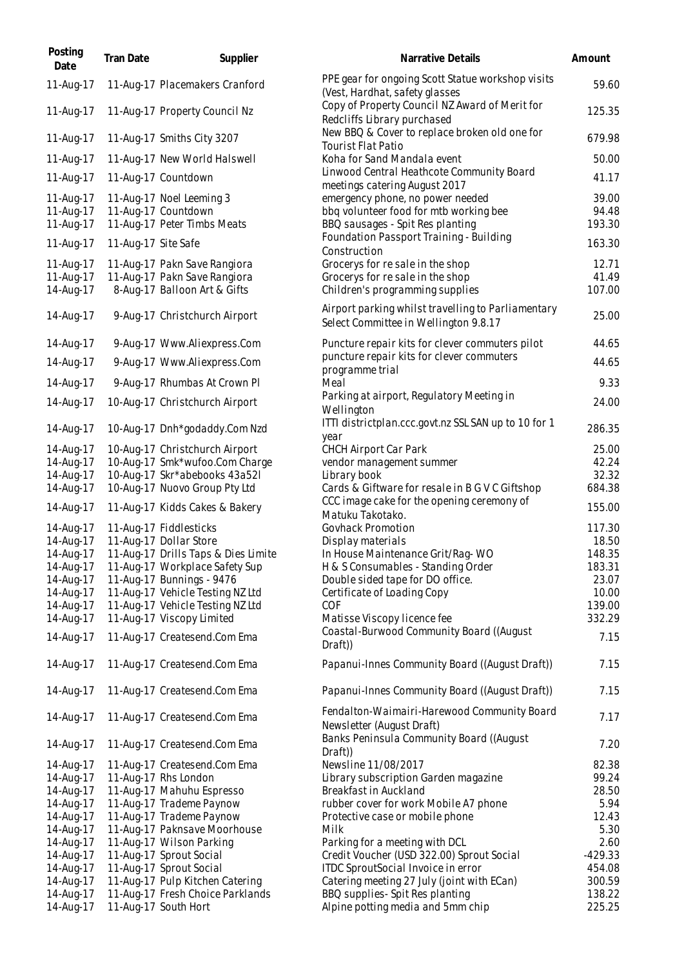| 11-Aug-17<br>11-Aug-17 Placemakers Cranford                                              | PPE gear for ongoing Scott Statue workshop visits                                           |                  |
|------------------------------------------------------------------------------------------|---------------------------------------------------------------------------------------------|------------------|
|                                                                                          | (Vest, Hardhat, safety glasses                                                              | 59.60            |
| 11-Aug-17<br>11-Aug-17 Property Council Nz                                               | Copy of Property Council NZ Award of Merit for<br>Redcliffs Library purchased               | 125.35           |
| 11-Aug-17 Smiths City 3207<br>11-Aug-17                                                  | New BBQ & Cover to replace broken old one for<br><b>Tourist Flat Patio</b>                  | 679.98           |
| 11-Aug-17 New World Halswell<br>11-Aug-17                                                | Koha for Sand Mandala event                                                                 | 50.00            |
| 11-Aug-17<br>11-Aug-17 Countdown                                                         | Linwood Central Heathcote Community Board<br>meetings catering August 2017                  | 41.17            |
| 11-Aug-17<br>11-Aug-17 Noel Leeming 3                                                    | emergency phone, no power needed                                                            | 39.00            |
| 11-Aug-17<br>11-Aug-17 Countdown                                                         | bbq volunteer food for mtb working bee                                                      | 94.48            |
| 11-Aug-17<br>11-Aug-17 Peter Timbs Meats                                                 | BBQ sausages - Spit Res planting                                                            | 193.30           |
| 11-Aug-17 Site Safe<br>11-Aug-17                                                         | Foundation Passport Training - Building<br>Construction                                     | 163.30           |
| 11-Aug-17<br>11-Aug-17 Pakn Save Rangiora                                                | Grocerys for re sale in the shop                                                            | 12.71            |
| 11-Aug-17<br>11-Aug-17 Pakn Save Rangiora                                                | Grocerys for re sale in the shop                                                            | 41.49            |
| 14-Aug-17<br>8-Aug-17 Balloon Art & Gifts                                                | Children's programming supplies                                                             | 107.00           |
| 14-Aug-17<br>9-Aug-17 Christchurch Airport                                               | Airport parking whilst travelling to Parliamentary<br>Select Committee in Wellington 9.8.17 | 25.00            |
| 14-Aug-17<br>9-Aug-17 Www.Aliexpress.Com                                                 | Puncture repair kits for clever commuters pilot                                             | 44.65            |
| 9-Aug-17 Www.Aliexpress.Com<br>14-Aug-17                                                 | puncture repair kits for clever commuters<br>programme trial                                | 44.65            |
| 9-Aug-17 Rhumbas At Crown Pl<br>14-Aug-17                                                | Meal                                                                                        | 9.33             |
| 14-Aug-17<br>10-Aug-17 Christchurch Airport                                              | Parking at airport, Regulatory Meeting in<br>Wellington                                     | 24.00            |
| 10-Aug-17 Dnh*godaddy.Com Nzd<br>14-Aug-17                                               | ITTI districtplan.ccc.govt.nz SSL SAN up to 10 for 1<br>year                                | 286.35           |
| 10-Aug-17 Christchurch Airport<br>14-Aug-17                                              | <b>CHCH Airport Car Park</b>                                                                | 25.00            |
| 14-Aug-17<br>10-Aug-17 Smk*wufoo.Com Charge                                              | vendor management summer                                                                    | 42.24            |
| 14-Aug-17<br>10-Aug-17 Skr*abebooks 43a52l<br>14-Aug-17<br>10-Aug-17 Nuovo Group Pty Ltd | Library book<br>Cards & Giftware for resale in B G V C Giftshop                             | 32.32<br>684.38  |
|                                                                                          | CCC image cake for the opening ceremony of                                                  |                  |
| 11-Aug-17 Kidds Cakes & Bakery<br>14-Aug-17                                              | Matuku Takotako.                                                                            | 155.00           |
| 11-Aug-17 Fiddlesticks<br>14-Aug-17<br>14-Aug-17<br>11-Aug-17 Dollar Store               | <b>Govhack Promotion</b><br>Display materials                                               | 117.30<br>18.50  |
| 14-Aug-17<br>11-Aug-17 Drills Taps & Dies Limite                                         | In House Maintenance Grit/Rag-WO                                                            | 148.35           |
| 11-Aug-17 Workplace Safety Sup<br>14-Aug-17                                              | H & S Consumables - Standing Order                                                          | 183.31           |
| 14-Aug-17<br>11-Aug-17 Bunnings - 9476                                                   | Double sided tape for DO office.                                                            | 23.07            |
| 14-Aug-17<br>11-Aug-17 Vehicle Testing NZ Ltd                                            | Certificate of Loading Copy                                                                 | 10.00            |
| 14-Aug-17<br>11-Aug-17 Vehicle Testing NZ Ltd                                            | COF                                                                                         | 139.00           |
| 14-Aug-17<br>11-Aug-17 Viscopy Limited                                                   | Matisse Viscopy licence fee                                                                 | 332.29           |
| 14-Aug-17<br>11-Aug-17 Createsend.Com Ema                                                | Coastal-Burwood Community Board ((August<br>Draft))                                         | 7.15             |
| 11-Aug-17 Createsend.Com Ema<br>14-Aug-17                                                | Papanui-Innes Community Board ((August Draft))                                              | 7.15             |
| 14-Aug-17<br>11-Aug-17 Createsend.Com Ema                                                | Papanui-Innes Community Board ((August Draft))                                              | 7.15             |
| 14-Aug-17<br>11-Aug-17 Createsend.Com Ema                                                | Fendalton-Waimairi-Harewood Community Board<br>Newsletter (August Draft)                    | 7.17             |
| 14-Aug-17<br>11-Aug-17 Createsend.Com Ema                                                | Banks Peninsula Community Board ((August<br>Draft))                                         | 7.20             |
| 14-Aug-17<br>11-Aug-17 Createsend.Com Ema                                                | Newsline 11/08/2017                                                                         | 82.38            |
| 14-Aug-17<br>11-Aug-17 Rhs London                                                        | Library subscription Garden magazine                                                        | 99.24            |
| 14-Aug-17<br>11-Aug-17 Mahuhu Espresso                                                   | Breakfast in Auckland                                                                       | 28.50            |
| 14-Aug-17<br>11-Aug-17 Trademe Paynow                                                    | rubber cover for work Mobile A7 phone                                                       | 5.94             |
| 14-Aug-17<br>11-Aug-17 Trademe Paynow                                                    | Protective case or mobile phone                                                             | 12.43            |
| 14-Aug-17<br>11-Aug-17 Paknsave Moorhouse                                                | Milk                                                                                        | 5.30             |
| 14-Aug-17<br>11-Aug-17 Wilson Parking                                                    | Parking for a meeting with DCL                                                              | 2.60             |
| 14-Aug-17<br>11-Aug-17 Sprout Social                                                     | Credit Voucher (USD 322.00) Sprout Social                                                   | $-429.33$        |
| 14-Aug-17<br>11-Aug-17 Sprout Social<br>11-Aug-17 Pulp Kitchen Catering                  | ITDC SproutSocial Invoice in error                                                          | 454.08<br>300.59 |
| 14-Aug-17<br>14-Aug-17<br>11-Aug-17 Fresh Choice Parklands                               | Catering meeting 27 July (joint with ECan)<br>BBQ supplies-Spit Res planting                | 138.22           |
| 14-Aug-17<br>11-Aug-17 South Hort                                                        | Alpine potting media and 5mm chip                                                           | 225.25           |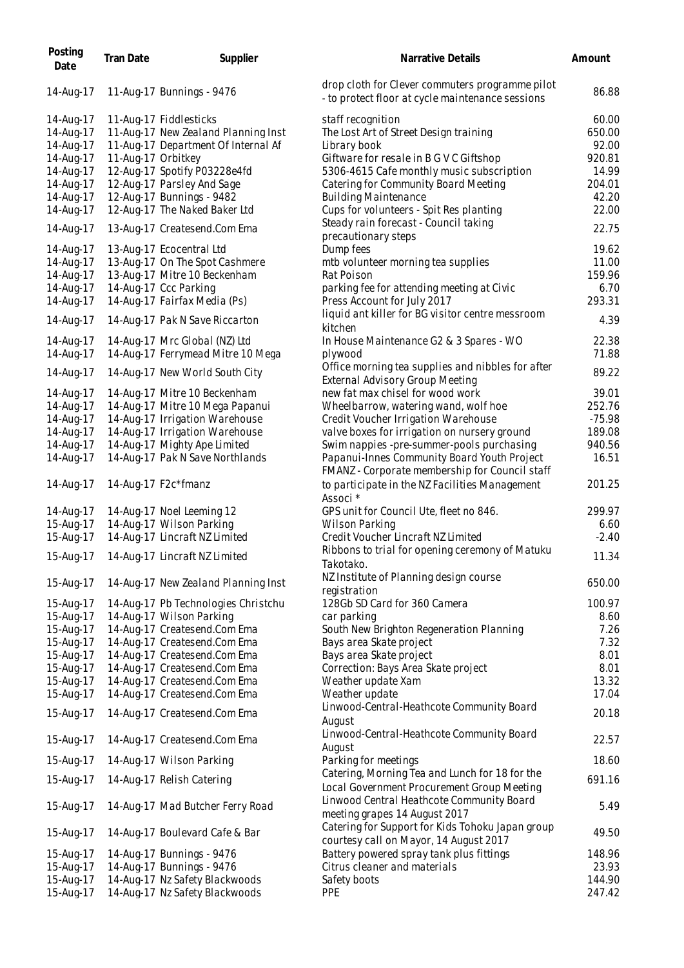| Posting<br>Date        | <b>Tran Date</b>   | Supplier                                                       | Narrative Details                                                                                            | Amount           |
|------------------------|--------------------|----------------------------------------------------------------|--------------------------------------------------------------------------------------------------------------|------------------|
| 14-Aug-17              |                    | 11-Aug-17 Bunnings - 9476                                      | drop cloth for Clever commuters programme pilot<br>- to protect floor at cycle maintenance sessions          | 86.88            |
| 14-Aug-17              |                    | 11-Aug-17 Fiddlesticks                                         | staff recognition                                                                                            | 60.00            |
| 14-Aug-17              |                    | 11-Aug-17 New Zealand Planning Inst                            | The Lost Art of Street Design training                                                                       | 650.00           |
| 14-Aug-17              |                    | 11-Aug-17 Department Of Internal Af                            | Library book                                                                                                 | 92.00            |
| 14-Aug-17              | 11-Aug-17 Orbitkey |                                                                | Giftware for resale in B G V C Giftshop                                                                      | 920.81           |
| 14-Aug-17              |                    | 12-Aug-17 Spotify P03228e4fd                                   | 5306-4615 Cafe monthly music subscription                                                                    | 14.99            |
| 14-Aug-17              |                    | 12-Aug-17 Parsley And Sage                                     | Catering for Community Board Meeting                                                                         | 204.01           |
| 14-Aug-17              |                    | 12-Aug-17 Bunnings - 9482                                      | <b>Building Maintenance</b>                                                                                  | 42.20            |
| 14-Aug-17              |                    | 12-Aug-17 The Naked Baker Ltd                                  | Cups for volunteers - Spit Res planting                                                                      | 22.00            |
| 14-Aug-17              |                    | 13-Aug-17 Createsend.Com Ema                                   | Steady rain forecast - Council taking<br>precautionary steps                                                 | 22.75            |
| 14-Aug-17              |                    | 13-Aug-17 Ecocentral Ltd                                       | Dump fees                                                                                                    | 19.62            |
| 14-Aug-17              |                    | 13-Aug-17 On The Spot Cashmere                                 | mtb volunteer morning tea supplies                                                                           | 11.00            |
| 14-Aug-17              |                    | 13-Aug-17 Mitre 10 Beckenham                                   | Rat Poison                                                                                                   | 159.96           |
| 14-Aug-17              |                    | 14-Aug-17 Ccc Parking                                          | parking fee for attending meeting at Civic                                                                   | 6.70             |
| 14-Aug-17              |                    | 14-Aug-17 Fairfax Media (Ps)                                   | Press Account for July 2017                                                                                  | 293.31           |
|                        |                    |                                                                | liquid ant killer for BG visitor centre messroom                                                             |                  |
| 14-Aug-17              |                    | 14-Aug-17 Pak N Save Riccarton                                 | kitchen                                                                                                      | 4.39             |
| 14-Aug-17              |                    | 14-Aug-17 Mrc Global (NZ) Ltd                                  | In House Maintenance G2 & 3 Spares - WO                                                                      | 22.38            |
| 14-Aug-17              |                    | 14-Aug-17 Ferrymead Mitre 10 Mega                              | plywood                                                                                                      | 71.88            |
| 14-Aug-17              |                    | 14-Aug-17 New World South City                                 | Office morning tea supplies and nibbles for after                                                            | 89.22            |
|                        |                    |                                                                | <b>External Advisory Group Meeting</b>                                                                       |                  |
| 14-Aug-17              |                    | 14-Aug-17 Mitre 10 Beckenham                                   | new fat max chisel for wood work                                                                             | 39.01            |
| 14-Aug-17              |                    | 14-Aug-17 Mitre 10 Mega Papanui                                | Wheelbarrow, watering wand, wolf hoe                                                                         | 252.76           |
| 14-Aug-17              |                    | 14-Aug-17 Irrigation Warehouse                                 | Credit Voucher Irrigation Warehouse                                                                          | $-75.98$         |
| 14-Aug-17              |                    | 14-Aug-17 Irrigation Warehouse<br>14-Aug-17 Mighty Ape Limited | valve boxes for irrigation on nursery ground                                                                 | 189.08<br>940.56 |
| 14-Aug-17<br>14-Aug-17 |                    | 14-Aug-17 Pak N Save Northlands                                | Swim nappies -pre-summer-pools purchasing<br>Papanui-Innes Community Board Youth Project                     | 16.51            |
| 14-Aug-17              |                    | 14-Aug-17 F2c*fmanz                                            | FMANZ - Corporate membership for Council staff<br>to participate in the NZ Facilities Management<br>Associ * | 201.25           |
| 14-Aug-17              |                    | 14-Aug-17 Noel Leeming 12                                      | GPS unit for Council Ute, fleet no 846.                                                                      | 299.97           |
| 15-Aug-17              |                    | 14-Aug-17 Wilson Parking                                       | Wilson Parking                                                                                               | 6.60             |
| 15-Aug-17              |                    | 14-Aug-17 Lincraft NZ Limited                                  | Credit Voucher Lincraft NZ Limited                                                                           | $-2.40$          |
| 15-Aug-17              |                    | 14-Aug-17 Lincraft NZ Limited                                  | Ribbons to trial for opening ceremony of Matuku<br>Takotako.                                                 | 11.34            |
| 15-Aug-17              |                    | 14-Aug-17 New Zealand Planning Inst                            | NZ Institute of Planning design course                                                                       | 650.00           |
|                        |                    |                                                                | registration                                                                                                 |                  |
| 15-Aug-17              |                    | 14-Aug-17 Pb Technologies Christchu                            | 128Gb SD Card for 360 Camera                                                                                 | 100.97           |
| 15-Aug-17              |                    | 14-Aug-17 Wilson Parking                                       | car parking                                                                                                  | 8.60             |
| 15-Aug-17              |                    | 14-Aug-17 Createsend.Com Ema                                   | South New Brighton Regeneration Planning                                                                     | 7.26             |
| 15-Aug-17              |                    | 14-Aug-17 Createsend.Com Ema                                   | Bays area Skate project                                                                                      | 7.32             |
| 15-Aug-17<br>15-Aug-17 |                    | 14-Aug-17 Createsend.Com Ema<br>14-Aug-17 Createsend.Com Ema   | Bays area Skate project<br>Correction: Bays Area Skate project                                               | 8.01<br>8.01     |
| 15-Aug-17              |                    | 14-Aug-17 Createsend.Com Ema                                   | Weather update Xam                                                                                           | 13.32            |
| 15-Aug-17              |                    | 14-Aug-17 Createsend.Com Ema                                   | Weather update                                                                                               | 17.04            |
| 15-Aug-17              |                    | 14-Aug-17 Createsend.Com Ema                                   | Linwood-Central-Heathcote Community Board                                                                    | 20.18            |
| 15-Aug-17              |                    | 14-Aug-17 Createsend.Com Ema                                   | August<br>Linwood-Central-Heathcote Community Board                                                          | 22.57            |
| 15-Aug-17              |                    | 14-Aug-17 Wilson Parking                                       | August<br>Parking for meetings                                                                               | 18.60            |
| 15-Aug-17              |                    | 14-Aug-17 Relish Catering                                      | Catering, Morning Tea and Lunch for 18 for the<br>Local Government Procurement Group Meeting                 | 691.16           |
| 15-Aug-17              |                    | 14-Aug-17 Mad Butcher Ferry Road                               | Linwood Central Heathcote Community Board<br>meeting grapes 14 August 2017                                   | 5.49             |
| 15-Aug-17              |                    | 14-Aug-17 Boulevard Cafe & Bar                                 | Catering for Support for Kids Tohoku Japan group<br>courtesy call on Mayor, 14 August 2017                   | 49.50            |
| 15-Aug-17              |                    | 14-Aug-17 Bunnings - 9476                                      | Battery powered spray tank plus fittings                                                                     | 148.96           |
| 15-Aug-17              |                    | 14-Aug-17 Bunnings - 9476                                      | Citrus cleaner and materials                                                                                 | 23.93            |
| 15-Aug-17              |                    | 14-Aug-17 Nz Safety Blackwoods                                 | Safety boots                                                                                                 | 144.90           |
| 15-Aug-17              |                    | 14-Aug-17 Nz Safety Blackwoods                                 | PPE                                                                                                          | 247.42           |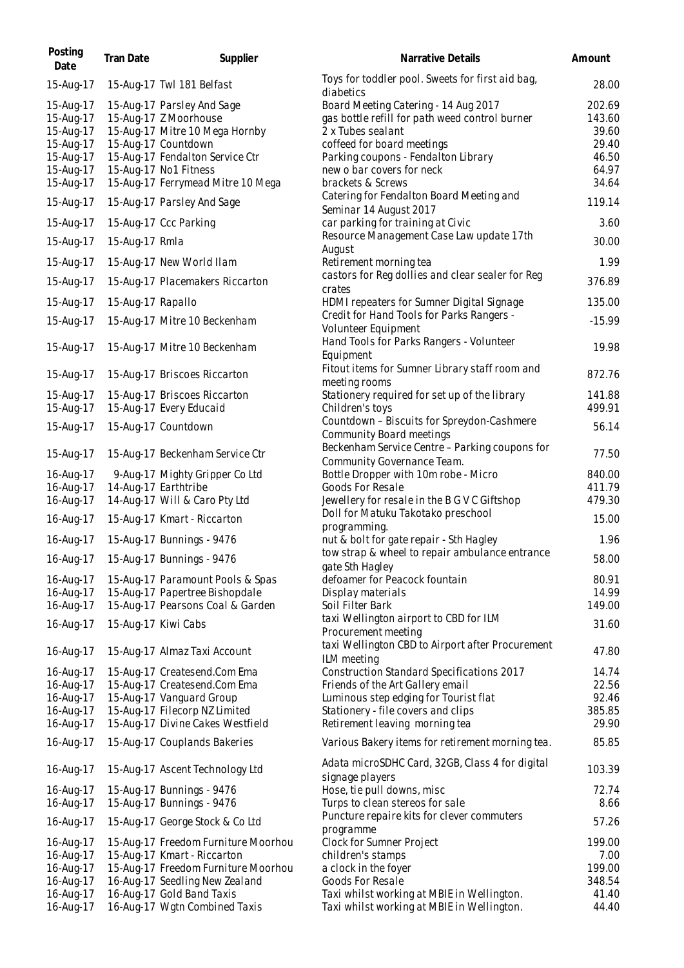| Posting<br>Date                                                            | Tran Date         | Supplier                                                                                                                                                                 | Narrative Details                                                                                                                                                                                             | Amount                                               |
|----------------------------------------------------------------------------|-------------------|--------------------------------------------------------------------------------------------------------------------------------------------------------------------------|---------------------------------------------------------------------------------------------------------------------------------------------------------------------------------------------------------------|------------------------------------------------------|
| 15-Aug-17                                                                  |                   | 15-Aug-17 Twl 181 Belfast                                                                                                                                                | Toys for toddler pool. Sweets for first aid bag,<br>diabetics                                                                                                                                                 | 28.00                                                |
| 15-Aug-17<br>15-Aug-17<br>15-Aug-17<br>15-Aug-17<br>15-Aug-17<br>15-Aug-17 |                   | 15-Aug-17 Parsley And Sage<br>15-Aug-17 Z Moorhouse<br>15-Aug-17 Mitre 10 Mega Hornby<br>15-Aug-17 Countdown<br>15-Aug-17 Fendalton Service Ctr<br>15-Aug-17 No1 Fitness | Board Meeting Catering - 14 Aug 2017<br>gas bottle refill for path weed control burner<br>2 x Tubes sealant<br>coffeed for board meetings<br>Parking coupons - Fendalton Library<br>new o bar covers for neck | 202.69<br>143.60<br>39.60<br>29.40<br>46.50<br>64.97 |
| 15-Aug-17<br>15-Aug-17                                                     |                   | 15-Aug-17 Ferrymead Mitre 10 Mega<br>15-Aug-17 Parsley And Sage                                                                                                          | brackets & Screws<br>Catering for Fendalton Board Meeting and                                                                                                                                                 | 34.64<br>119.14                                      |
| 15-Aug-17                                                                  |                   | 15-Aug-17 Ccc Parking                                                                                                                                                    | Seminar 14 August 2017<br>car parking for training at Civic<br>Resource Management Case Law update 17th                                                                                                       | 3.60                                                 |
| 15-Aug-17                                                                  | 15-Aug-17 Rmla    |                                                                                                                                                                          | August                                                                                                                                                                                                        | 30.00                                                |
| 15-Aug-17<br>15-Aug-17                                                     |                   | 15-Aug-17 New World Ilam<br>15-Aug-17 Placemakers Riccarton                                                                                                              | Retirement morning tea<br>castors for Reg dollies and clear sealer for Reg                                                                                                                                    | 1.99<br>376.89                                       |
| 15-Aug-17                                                                  | 15-Aug-17 Rapallo |                                                                                                                                                                          | crates<br>HDMI repeaters for Sumner Digital Signage                                                                                                                                                           | 135.00                                               |
| 15-Aug-17                                                                  |                   | 15-Aug-17 Mitre 10 Beckenham                                                                                                                                             | Credit for Hand Tools for Parks Rangers -<br>Volunteer Equipment                                                                                                                                              | $-15.99$                                             |
| 15-Aug-17                                                                  |                   | 15-Aug-17 Mitre 10 Beckenham                                                                                                                                             | Hand Tools for Parks Rangers - Volunteer<br>Equipment                                                                                                                                                         | 19.98                                                |
| 15-Aug-17                                                                  |                   | 15-Aug-17 Briscoes Riccarton                                                                                                                                             | Fitout items for Sumner Library staff room and<br>meeting rooms                                                                                                                                               | 872.76                                               |
| 15-Aug-17<br>15-Aug-17                                                     |                   | 15-Aug-17 Briscoes Riccarton<br>15-Aug-17 Every Educaid                                                                                                                  | Stationery required for set up of the library<br>Children's toys                                                                                                                                              | 141.88<br>499.91                                     |
| 15-Aug-17                                                                  |                   | 15-Aug-17 Countdown                                                                                                                                                      | Countdown - Biscuits for Spreydon-Cashmere<br>Community Board meetings                                                                                                                                        | 56.14                                                |
| 15-Aug-17                                                                  |                   | 15-Aug-17 Beckenham Service Ctr                                                                                                                                          | Beckenham Service Centre - Parking coupons for<br>Community Governance Team.                                                                                                                                  | 77.50                                                |
| 16-Aug-17<br>16-Aug-17                                                     |                   | 9-Aug-17 Mighty Gripper Co Ltd<br>14-Aug-17 Earthtribe                                                                                                                   | Bottle Dropper with 10m robe - Micro<br>Goods For Resale                                                                                                                                                      | 840.00<br>411.79                                     |
| 16-Aug-17                                                                  |                   | 14-Aug-17 Will & Caro Pty Ltd                                                                                                                                            | Jewellery for resale in the B G V C Giftshop                                                                                                                                                                  | 479.30                                               |
| 16-Aug-17                                                                  |                   | 15-Aug-17 Kmart - Riccarton                                                                                                                                              | Doll for Matuku Takotako preschool<br>programming.                                                                                                                                                            | 15.00                                                |
| 16-Aug-17                                                                  |                   | 15-Aug-17 Bunnings - 9476                                                                                                                                                | nut & bolt for gate repair - Sth Hagley<br>tow strap & wheel to repair ambulance entrance                                                                                                                     | 1.96                                                 |
| 16-Aug-17                                                                  |                   | 15-Aug-17 Bunnings - 9476                                                                                                                                                | gate Sth Hagley                                                                                                                                                                                               | 58.00                                                |
| 16-Aug-17<br>16-Aug-17                                                     |                   | 15-Aug-17 Paramount Pools & Spas<br>15-Aug-17 Papertree Bishopdale                                                                                                       | defoamer for Peacock fountain<br>Display materials                                                                                                                                                            | 80.91<br>14.99                                       |
| 16-Aug-17                                                                  |                   | 15-Aug-17 Pearsons Coal & Garden                                                                                                                                         | Soil Filter Bark                                                                                                                                                                                              | 149.00                                               |
| 16-Aug-17                                                                  |                   | 15-Aug-17 Kiwi Cabs                                                                                                                                                      | taxi Wellington airport to CBD for ILM<br>Procurement meeting<br>taxi Wellington CBD to Airport after Procurement                                                                                             | 31.60                                                |
| 16-Aug-17                                                                  |                   | 15-Aug-17 Almaz Taxi Account                                                                                                                                             | ILM meeting                                                                                                                                                                                                   | 47.80                                                |
| 16-Aug-17<br>16-Aug-17                                                     |                   | 15-Aug-17 Createsend.Com Ema<br>15-Aug-17 Createsend.Com Ema                                                                                                             | <b>Construction Standard Specifications 2017</b><br>Friends of the Art Gallery email                                                                                                                          | 14.74<br>22.56                                       |
| 16-Aug-17                                                                  |                   | 15-Aug-17 Vanguard Group                                                                                                                                                 | Luminous step edging for Tourist flat                                                                                                                                                                         | 92.46                                                |
| 16-Aug-17<br>16-Aug-17                                                     |                   | 15-Aug-17 Filecorp NZ Limited<br>15-Aug-17 Divine Cakes Westfield                                                                                                        | Stationery - file covers and clips<br>Retirement leaving morning tea                                                                                                                                          | 385.85<br>29.90                                      |
| 16-Aug-17                                                                  |                   | 15-Aug-17 Couplands Bakeries                                                                                                                                             | Various Bakery items for retirement morning tea.                                                                                                                                                              | 85.85                                                |
| 16-Aug-17                                                                  |                   | 15-Aug-17 Ascent Technology Ltd                                                                                                                                          | Adata microSDHC Card, 32GB, Class 4 for digital<br>signage players                                                                                                                                            | 103.39                                               |
| 16-Aug-17                                                                  |                   | 15-Aug-17 Bunnings - 9476                                                                                                                                                | Hose, tie pull downs, misc                                                                                                                                                                                    | 72.74                                                |
| 16-Aug-17<br>16-Aug-17                                                     |                   | 15-Aug-17 Bunnings - 9476<br>15-Aug-17 George Stock & Co Ltd                                                                                                             | Turps to clean stereos for sale<br>Puncture repaire kits for clever commuters                                                                                                                                 | 8.66<br>57.26                                        |
| 16-Aug-17                                                                  |                   | 15-Aug-17 Freedom Furniture Moorhou                                                                                                                                      | programme<br>Clock for Sumner Project                                                                                                                                                                         | 199.00                                               |
| 16-Aug-17                                                                  |                   | 15-Aug-17 Kmart - Riccarton                                                                                                                                              | children's stamps                                                                                                                                                                                             | 7.00                                                 |
| 16-Aug-17                                                                  |                   | 15-Aug-17 Freedom Furniture Moorhou                                                                                                                                      | a clock in the foyer                                                                                                                                                                                          | 199.00                                               |
| 16-Aug-17                                                                  |                   | 16-Aug-17 Seedling New Zealand                                                                                                                                           | Goods For Resale                                                                                                                                                                                              | 348.54                                               |
| 16-Aug-17<br>16-Aug-17                                                     |                   | 16-Aug-17 Gold Band Taxis<br>16-Aug-17 Wgtn Combined Taxis                                                                                                               | Taxi whilst working at MBIE in Wellington.<br>Taxi whilst working at MBIE in Wellington.                                                                                                                      | 41.40<br>44.40                                       |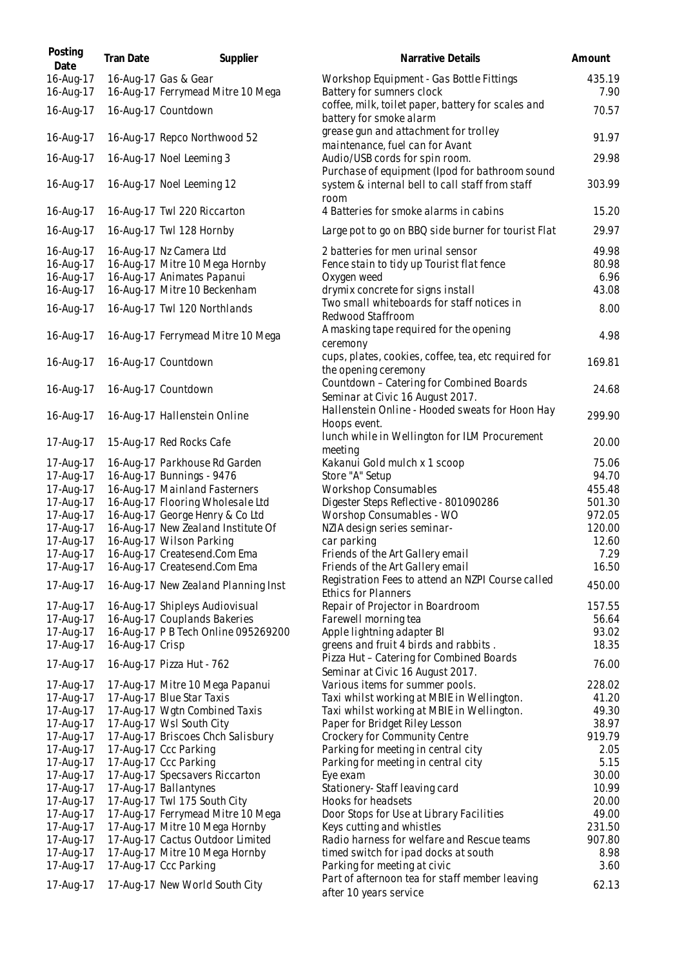| Posting<br>Date        | Tran Date       | Supplier                                                            | Narrative Details                                                                                                     | Amount         |
|------------------------|-----------------|---------------------------------------------------------------------|-----------------------------------------------------------------------------------------------------------------------|----------------|
| 16-Aug-17<br>16-Aug-17 |                 | 16-Aug-17 Gas & Gear<br>16-Aug-17 Ferrymead Mitre 10 Mega           | Workshop Equipment - Gas Bottle Fittings<br>Battery for sumners clock                                                 | 435.19<br>7.90 |
| 16-Aug-17              |                 | 16-Aug-17 Countdown                                                 | coffee, milk, toilet paper, battery for scales and<br>battery for smoke alarm                                         | 70.57          |
| 16-Aug-17              |                 | 16-Aug-17 Repco Northwood 52                                        | grease gun and attachment for trolley<br>maintenance, fuel can for Avant                                              | 91.97          |
| 16-Aug-17              |                 | 16-Aug-17 Noel Leeming 3                                            | Audio/USB cords for spin room.                                                                                        | 29.98          |
| 16-Aug-17              |                 | 16-Aug-17 Noel Leeming 12                                           | Purchase of equipment (Ipod for bathroom sound<br>system & internal bell to call staff from staff<br>room             | 303.99         |
| 16-Aug-17              |                 | 16-Aug-17 Twl 220 Riccarton                                         | 4 Batteries for smoke alarms in cabins                                                                                | 15.20          |
| 16-Aug-17              |                 | 16-Aug-17 Twl 128 Hornby                                            | Large pot to go on BBQ side burner for tourist Flat                                                                   | 29.97          |
| 16-Aug-17              |                 | 16-Aug-17 Nz Camera Ltd                                             | 2 batteries for men urinal sensor                                                                                     | 49.98          |
| 16-Aug-17              |                 | 16-Aug-17 Mitre 10 Mega Hornby                                      | Fence stain to tidy up Tourist flat fence                                                                             | 80.98          |
| 16-Aug-17              |                 | 16-Aug-17 Animates Papanui                                          | Oxygen weed                                                                                                           | 6.96           |
| 16-Aug-17              |                 | 16-Aug-17 Mitre 10 Beckenham                                        | drymix concrete for signs install                                                                                     | 43.08          |
| 16-Aug-17              |                 | 16-Aug-17 Twl 120 Northlands                                        | Two small whiteboards for staff notices in<br>Redwood Staffroom                                                       | 8.00           |
| 16-Aug-17              |                 | 16-Aug-17 Ferrymead Mitre 10 Mega                                   | A masking tape required for the opening<br>ceremony                                                                   | 4.98           |
| 16-Aug-17              |                 | 16-Aug-17 Countdown                                                 | cups, plates, cookies, coffee, tea, etc required for<br>the opening ceremony                                          | 169.81         |
| 16-Aug-17              |                 | 16-Aug-17 Countdown                                                 | Countdown - Catering for Combined Boards<br>Seminar at Civic 16 August 2017.                                          | 24.68          |
| 16-Aug-17              |                 | 16-Aug-17 Hallenstein Online                                        | Hallenstein Online - Hooded sweats for Hoon Hay<br>Hoops event.                                                       | 299.90         |
| 17-Aug-17              |                 | 15-Aug-17 Red Rocks Cafe                                            | lunch while in Wellington for ILM Procurement<br>meeting                                                              | 20.00          |
| 17-Aug-17              |                 | 16-Aug-17 Parkhouse Rd Garden                                       | Kakanui Gold mulch x 1 scoop                                                                                          | 75.06          |
| 17-Aug-17              |                 | 16-Aug-17 Bunnings - 9476                                           | Store "A" Setup                                                                                                       | 94.70          |
| 17-Aug-17              |                 | 16-Aug-17 Mainland Fasterners                                       | <b>Workshop Consumables</b>                                                                                           | 455.48         |
| 17-Aug-17              |                 | 16-Aug-17 Flooring Wholesale Ltd                                    | Digester Steps Reflective - 801090286                                                                                 | 501.30         |
| 17-Aug-17              |                 | 16-Aug-17 George Henry & Co Ltd                                     | Worshop Consumables - WO                                                                                              | 972.05         |
| 17-Aug-17<br>17-Aug-17 |                 | 16-Aug-17 New Zealand Institute Of                                  | NZIA design series seminar-<br>car parking                                                                            | 120.00         |
| 17-Aug-17              |                 | 16-Aug-17 Wilson Parking<br>16-Aug-17 Createsend.Com Ema            | Friends of the Art Gallery email                                                                                      | 12.60<br>7.29  |
| 17-Aug-17              |                 | 16-Aug-17 Createsend.Com Ema                                        | Friends of the Art Gallery email                                                                                      | 16.50          |
|                        |                 |                                                                     | Registration Fees to attend an NZPI Course called                                                                     |                |
| 17-Aug-17              |                 | 16-Aug-17 New Zealand Planning Inst                                 | <b>Ethics for Planners</b>                                                                                            | 450.00         |
| 17-Aug-17              |                 | 16-Aug-17 Shipleys Audiovisual                                      | Repair of Projector in Boardroom                                                                                      | 157.55         |
| 17-Aug-17              |                 | 16-Aug-17 Couplands Bakeries                                        | Farewell morning tea                                                                                                  | 56.64          |
| 17-Aug-17<br>17-Aug-17 | 16-Aug-17 Crisp | 16-Aug-17 P B Tech Online 095269200                                 | Apple lightning adapter BI                                                                                            | 93.02<br>18.35 |
| 17-Aug-17              |                 | 16-Aug-17 Pizza Hut - 762                                           | greens and fruit 4 birds and rabbits.<br>Pizza Hut - Catering for Combined Boards<br>Seminar at Civic 16 August 2017. | 76.00          |
| 17-Aug-17              |                 | 17-Aug-17 Mitre 10 Mega Papanui                                     | Various items for summer pools.                                                                                       | 228.02         |
| 17-Aug-17              |                 | 17-Aug-17 Blue Star Taxis                                           | Taxi whilst working at MBIE in Wellington.                                                                            | 41.20          |
| 17-Aug-17              |                 | 17-Aug-17 Wgtn Combined Taxis                                       | Taxi whilst working at MBIE in Wellington.                                                                            | 49.30          |
| 17-Aug-17              |                 | 17-Aug-17 Wsl South City                                            | Paper for Bridget Riley Lesson                                                                                        | 38.97          |
| 17-Aug-17              |                 | 17-Aug-17 Briscoes Chch Salisbury                                   | Crockery for Community Centre                                                                                         | 919.79         |
| 17-Aug-17              |                 | 17-Aug-17 Ccc Parking                                               | Parking for meeting in central city                                                                                   | 2.05           |
| 17-Aug-17              |                 | 17-Aug-17 Ccc Parking                                               | Parking for meeting in central city                                                                                   | 5.15           |
| 17-Aug-17              |                 | 17-Aug-17 Specsavers Riccarton                                      | Eye exam                                                                                                              | 30.00          |
| 17-Aug-17              |                 | 17-Aug-17 Ballantynes                                               | Stationery-Staff leaving card                                                                                         | 10.99          |
| 17-Aug-17<br>17-Aug-17 |                 | 17-Aug-17 Twl 175 South City                                        | Hooks for headsets                                                                                                    | 20.00<br>49.00 |
| 17-Aug-17              |                 | 17-Aug-17 Ferrymead Mitre 10 Mega<br>17-Aug-17 Mitre 10 Mega Hornby | Door Stops for Use at Library Facilities<br>Keys cutting and whistles                                                 | 231.50         |
| 17-Aug-17              |                 | 17-Aug-17 Cactus Outdoor Limited                                    | Radio harness for welfare and Rescue teams                                                                            | 907.80         |
| 17-Aug-17              |                 | 17-Aug-17 Mitre 10 Mega Hornby                                      | timed switch for ipad docks at south                                                                                  | 8.98           |
| 17-Aug-17              |                 | 17-Aug-17 Ccc Parking                                               | Parking for meeting at civic                                                                                          | 3.60           |
|                        |                 |                                                                     | Part of afternoon tea for staff member leaving                                                                        |                |
| 17-Aug-17              |                 | 17-Aug-17 New World South City                                      | after 10 years service                                                                                                | 62.13          |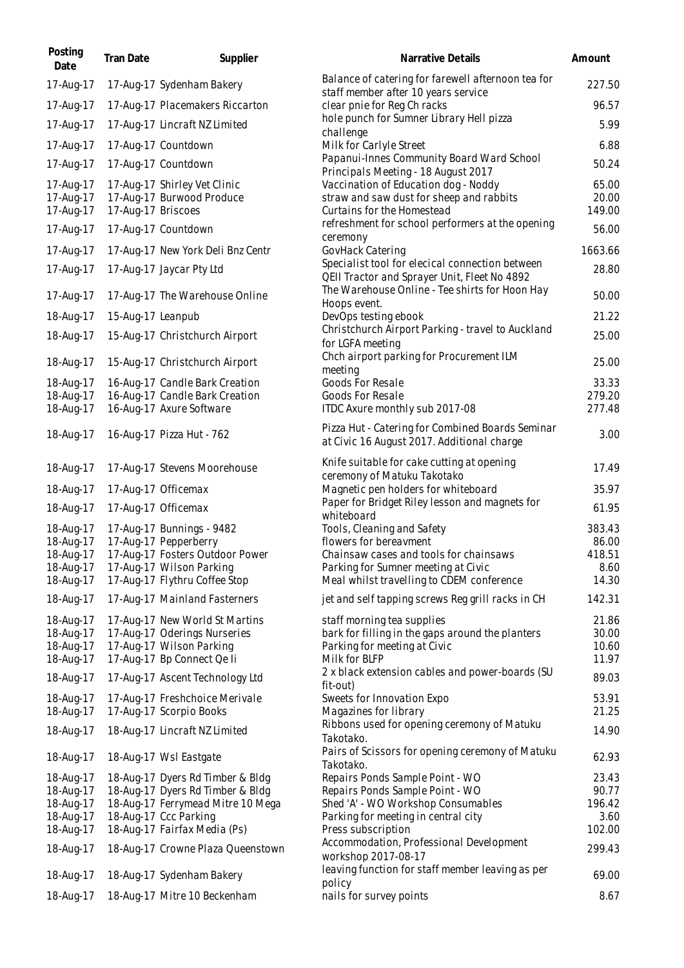| Posting<br>Date        | Tran Date          | Supplier                                                 | Narrative Details                                                                                                  | Amount         |
|------------------------|--------------------|----------------------------------------------------------|--------------------------------------------------------------------------------------------------------------------|----------------|
| 17-Aug-17              |                    | 17-Aug-17 Sydenham Bakery                                | Balance of catering for farewell afternoon tea for<br>staff member after 10 years service                          | 227.50         |
| 17-Aug-17              |                    | 17-Aug-17 Placemakers Riccarton                          | clear pnie for Reg Ch racks                                                                                        | 96.57          |
| 17-Aug-17              |                    | 17-Aug-17 Lincraft NZ Limited                            | hole punch for Sumner Library Hell pizza                                                                           | 5.99           |
| 17-Aug-17              |                    | 17-Aug-17 Countdown                                      | challenge<br>Milk for Carlyle Street                                                                               | 6.88           |
| 17-Aug-17              |                    | 17-Aug-17 Countdown                                      | Papanui-Innes Community Board Ward School                                                                          | 50.24          |
| 17-Aug-17              |                    | 17-Aug-17 Shirley Vet Clinic                             | Principals Meeting - 18 August 2017<br>Vaccination of Education dog - Noddy                                        | 65.00          |
| 17-Aug-17              |                    | 17-Aug-17 Burwood Produce                                | straw and saw dust for sheep and rabbits                                                                           | 20.00          |
| 17-Aug-17              | 17-Aug-17 Briscoes |                                                          | Curtains for the Homestead                                                                                         | 149.00         |
| 17-Aug-17              |                    | 17-Aug-17 Countdown                                      | refreshment for school performers at the opening<br>ceremony                                                       | 56.00          |
| 17-Aug-17              |                    | 17-Aug-17 New York Deli Bnz Centr                        | GovHack Catering                                                                                                   | 1663.66        |
| 17-Aug-17              |                    | 17-Aug-17 Jaycar Pty Ltd                                 | Specialist tool for elecical connection between<br>QEII Tractor and Sprayer Unit, Fleet No 4892                    | 28.80          |
| 17-Aug-17              |                    | 17-Aug-17 The Warehouse Online                           | The Warehouse Online - Tee shirts for Hoon Hay<br>Hoops event.                                                     | 50.00          |
| 18-Aug-17              | 15-Aug-17 Leanpub  |                                                          | DevOps testing ebook                                                                                               | 21.22          |
| 18-Aug-17              |                    | 15-Aug-17 Christchurch Airport                           | Christchurch Airport Parking - travel to Auckland                                                                  | 25.00          |
| 18-Aug-17              |                    | 15-Aug-17 Christchurch Airport                           | for LGFA meeting<br>Chch airport parking for Procurement ILM<br>meeting                                            | 25.00          |
| 18-Aug-17              |                    | 16-Aug-17 Candle Bark Creation                           | Goods For Resale                                                                                                   | 33.33          |
| 18-Aug-17              |                    | 16-Aug-17 Candle Bark Creation                           | Goods For Resale                                                                                                   | 279.20         |
| 18-Aug-17              |                    | 16-Aug-17 Axure Software                                 | ITDC Axure monthly sub 2017-08                                                                                     | 277.48         |
| 18-Aug-17              |                    | 16-Aug-17 Pizza Hut - 762                                | Pizza Hut - Catering for Combined Boards Seminar<br>at Civic 16 August 2017. Additional charge                     | 3.00           |
| 18-Aug-17              |                    | 17-Aug-17 Stevens Moorehouse                             | Knife suitable for cake cutting at opening<br>ceremony of Matuku Takotako                                          | 17.49          |
| 18-Aug-17              |                    | 17-Aug-17 Officemax                                      | Magnetic pen holders for whiteboard                                                                                | 35.97          |
| 18-Aug-17              |                    | 17-Aug-17 Officemax                                      | Paper for Bridget Riley lesson and magnets for<br>whiteboard                                                       | 61.95          |
| 18-Aug-17              |                    | 17-Aug-17 Bunnings - 9482                                | Tools, Cleaning and Safety                                                                                         | 383.43         |
| 18-Aug-17              |                    | 17-Aug-17 Pepperberry                                    | flowers for bereavment                                                                                             | 86.00          |
| 18-Aug-17              |                    | 17-Aug-17 Fosters Outdoor Power                          | Chainsaw cases and tools for chainsaws                                                                             | 418.51         |
| 18-Aug-17              |                    | 17-Aug-17 Wilson Parking                                 | Parking for Sumner meeting at Civic                                                                                | 8.60           |
| 18-Aug-17<br>18-Aug-17 |                    | 17-Aug-17 Flythru Coffee Stop                            | Meal whilst travelling to CDEM conference                                                                          | 14.30          |
|                        |                    | 17-Aug-17 Mainland Fasterners                            | jet and self tapping screws Reg grill racks in CH                                                                  | 142.31         |
| 18-Aug-17<br>18-Aug-17 |                    | 17-Aug-17 New World St Martins                           | staff morning tea supplies<br>bark for filling in the gaps around the planters                                     | 21.86<br>30.00 |
| 18-Aug-17              |                    | 17-Aug-17 Oderings Nurseries<br>17-Aug-17 Wilson Parking | Parking for meeting at Civic                                                                                       | 10.60          |
| 18-Aug-17              |                    | 17-Aug-17 Bp Connect Qe Ii                               | Milk for BLFP                                                                                                      | 11.97          |
| 18-Aug-17              |                    | 17-Aug-17 Ascent Technology Ltd                          | 2 x black extension cables and power-boards (SU                                                                    | 89.03          |
| 18-Aug-17              |                    | 17-Aug-17 Freshchoice Merivale                           | fit-out)<br>Sweets for Innovation Expo                                                                             | 53.91          |
| 18-Aug-17              |                    | 17-Aug-17 Scorpio Books                                  | Magazines for library                                                                                              | 21.25          |
| 18-Aug-17              |                    | 18-Aug-17 Lincraft NZ Limited                            | Ribbons used for opening ceremony of Matuku<br>Takotako.                                                           | 14.90          |
| 18-Aug-17              |                    | 18-Aug-17 Wsl Eastgate                                   | Pairs of Scissors for opening ceremony of Matuku<br>Takotako.                                                      | 62.93          |
| 18-Aug-17              |                    | 18-Aug-17 Dyers Rd Timber & Bldg                         | Repairs Ponds Sample Point - WO                                                                                    | 23.43          |
| 18-Aug-17              |                    | 18-Aug-17 Dyers Rd Timber & Bldg                         | Repairs Ponds Sample Point - WO                                                                                    | 90.77          |
| 18-Aug-17              |                    | 18-Aug-17 Ferrymead Mitre 10 Mega                        | Shed 'A' - WO Workshop Consumables                                                                                 | 196.42         |
| 18-Aug-17              |                    | 18-Aug-17 Ccc Parking                                    | Parking for meeting in central city                                                                                | 3.60           |
| 18-Aug-17              |                    | 18-Aug-17 Fairfax Media (Ps)                             | Press subscription                                                                                                 | 102.00         |
| 18-Aug-17              |                    | 18-Aug-17 Crowne Plaza Queenstown                        | Accommodation, Professional Development<br>workshop 2017-08-17<br>leaving function for staff member leaving as per | 299.43         |
| 18-Aug-17              |                    | 18-Aug-17 Sydenham Bakery                                | policy                                                                                                             | 69.00          |
| 18-Aug-17              |                    | 18-Aug-17 Mitre 10 Beckenham                             | nails for survey points                                                                                            | 8.67           |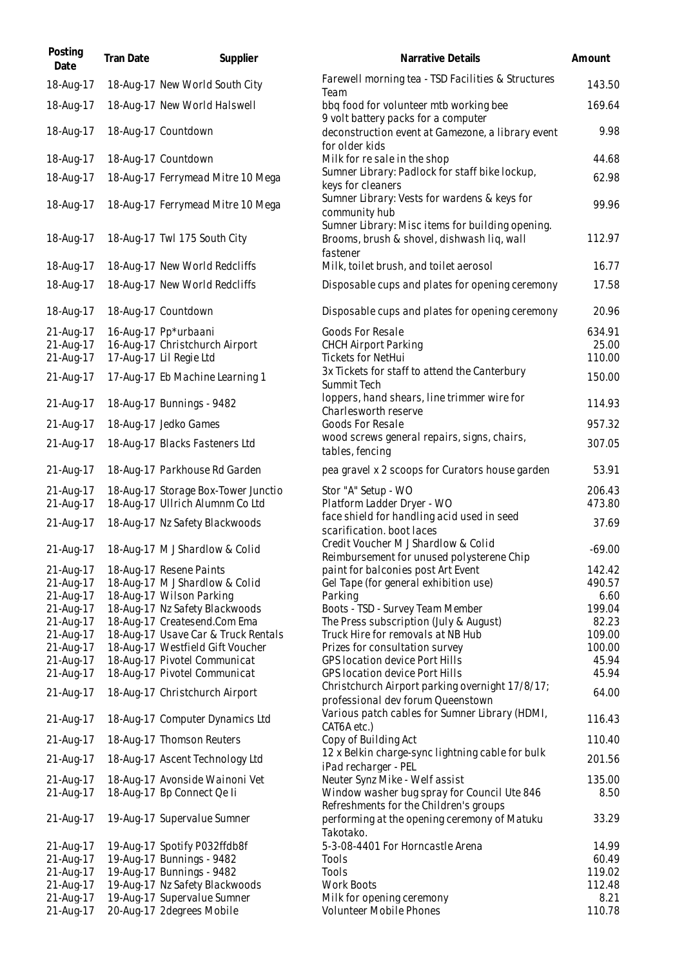| Posting<br>Date        | Tran Date | Supplier                                                                | Narrative Details                                                                                          | Amount          |
|------------------------|-----------|-------------------------------------------------------------------------|------------------------------------------------------------------------------------------------------------|-----------------|
| 18-Aug-17              |           | 18-Aug-17 New World South City                                          | Farewell morning tea - TSD Facilities & Structures<br>Team                                                 | 143.50          |
| 18-Aug-17              |           | 18-Aug-17 New World Halswell                                            | bbq food for volunteer mtb working bee<br>9 volt battery packs for a computer                              | 169.64          |
| 18-Aug-17              |           | 18-Aug-17 Countdown                                                     | deconstruction event at Gamezone, a library event<br>for older kids                                        | 9.98            |
| 18-Aug-17              |           | 18-Aug-17 Countdown                                                     | Milk for resale in the shop                                                                                | 44.68           |
| 18-Aug-17              |           | 18-Aug-17 Ferrymead Mitre 10 Mega                                       | Sumner Library: Padlock for staff bike lockup,<br>keys for cleaners                                        | 62.98           |
| 18-Aug-17              |           | 18-Aug-17 Ferrymead Mitre 10 Mega                                       | Sumner Library: Vests for wardens & keys for<br>community hub                                              | 99.96           |
| 18-Aug-17              |           | 18-Aug-17 Twl 175 South City                                            | Sumner Library: Misc items for building opening.<br>Brooms, brush & shovel, dishwash liq, wall<br>fastener | 112.97          |
| 18-Aug-17              |           | 18-Aug-17 New World Redcliffs                                           | Milk, toilet brush, and toilet aerosol                                                                     | 16.77           |
| 18-Aug-17              |           | 18-Aug-17 New World Redcliffs                                           | Disposable cups and plates for opening ceremony                                                            | 17.58           |
| 18-Aug-17              |           | 18-Aug-17 Countdown                                                     | Disposable cups and plates for opening ceremony                                                            | 20.96           |
| 21-Aug-17              |           | 16-Aug-17 Pp*urbaani                                                    | Goods For Resale                                                                                           | 634.91          |
| 21-Aug-17              |           | 16-Aug-17 Christchurch Airport                                          | <b>CHCH Airport Parking</b>                                                                                | 25.00           |
| 21-Aug-17              |           | 17-Aug-17 Lil Regie Ltd                                                 | <b>Tickets for NetHui</b>                                                                                  | 110.00          |
| 21-Aug-17              |           | 17-Aug-17 Eb Machine Learning 1                                         | 3x Tickets for staff to attend the Canterbury<br>Summit Tech                                               | 150.00          |
| 21-Aug-17              |           | 18-Aug-17 Bunnings - 9482                                               | loppers, hand shears, line trimmer wire for<br>Charlesworth reserve                                        | 114.93          |
| 21-Aug-17              |           | 18-Aug-17 Jedko Games                                                   | Goods For Resale                                                                                           | 957.32          |
| 21-Aug-17              |           | 18-Aug-17 Blacks Fasteners Ltd                                          | wood screws general repairs, signs, chairs,<br>tables, fencing                                             | 307.05          |
| 21-Aug-17              |           | 18-Aug-17 Parkhouse Rd Garden                                           | pea gravel x 2 scoops for Curators house garden                                                            | 53.91           |
| 21-Aug-17              |           | 18-Aug-17 Storage Box-Tower Junctio                                     | Stor "A" Setup - WO                                                                                        | 206.43          |
| 21-Aug-17              |           | 18-Aug-17 Ullrich Alumnm Co Ltd                                         | Platform Ladder Dryer - WO                                                                                 | 473.80          |
| 21-Aug-17              |           | 18-Aug-17 Nz Safety Blackwoods                                          | face shield for handling acid used in seed<br>scarification. boot laces                                    | 37.69           |
| 21-Aug-17              |           | 18-Aug-17 M J Shardlow & Colid                                          | Credit Voucher M J Shardlow & Colid<br>Reimbursement for unused polysterene Chip                           | $-69.00$        |
| 21-Aug-17              |           | 18-Aug-17 Resene Paints                                                 | paint for balconies post Art Event                                                                         | 142.42          |
| 21-Aug-17              |           | 18-Aug-17 M J Shardlow & Colid                                          | Gel Tape (for general exhibition use)                                                                      | 490.57          |
| 21-Aug-17              |           | 18-Aug-17 Wilson Parking                                                | Parking                                                                                                    | 6.60            |
| 21-Aug-17              |           | 18-Aug-17 Nz Safety Blackwoods                                          | Boots - TSD - Survey Team Member                                                                           | 199.04          |
| 21-Aug-17              |           | 18-Aug-17 Createsend.Com Ema                                            | The Press subscription (July & August)<br>Truck Hire for removals at NB Hub                                | 82.23<br>109.00 |
| 21-Aug-17<br>21-Aug-17 |           | 18-Aug-17 Usave Car & Truck Rentals<br>18-Aug-17 Westfield Gift Voucher | Prizes for consultation survey                                                                             | 100.00          |
| 21-Aug-17              |           | 18-Aug-17 Pivotel Communicat                                            | GPS location device Port Hills                                                                             | 45.94           |
| 21-Aug-17              |           | 18-Aug-17 Pivotel Communicat                                            | <b>GPS location device Port Hills</b>                                                                      | 45.94           |
| 21-Aug-17              |           | 18-Aug-17 Christchurch Airport                                          | Christchurch Airport parking overnight 17/8/17;<br>professional dev forum Queenstown                       | 64.00           |
| 21-Aug-17              |           | 18-Aug-17 Computer Dynamics Ltd                                         | Various patch cables for Sumner Library (HDMI,<br>CAT6A etc.)                                              | 116.43          |
| 21-Aug-17              |           | 18-Aug-17 Thomson Reuters                                               | Copy of Building Act                                                                                       | 110.40          |
| 21-Aug-17              |           | 18-Aug-17 Ascent Technology Ltd                                         | 12 x Belkin charge-sync lightning cable for bulk<br>iPad recharger - PEL                                   | 201.56          |
| 21-Aug-17              |           | 18-Aug-17 Avonside Wainoni Vet                                          | Neuter Synz Mike - Welf assist                                                                             | 135.00          |
| 21-Aug-17              |           | 18-Aug-17 Bp Connect Qe li                                              | Window washer bug spray for Council Ute 846<br>Refreshments for the Children's groups                      | 8.50            |
| 21-Aug-17              |           | 19-Aug-17 Supervalue Sumner                                             | performing at the opening ceremony of Matuku<br>Takotako.                                                  | 33.29           |
| 21-Aug-17              |           | 19-Aug-17 Spotify P032ffdb8f                                            | 5-3-08-4401 For Horncastle Arena                                                                           | 14.99           |
| 21-Aug-17              |           | 19-Aug-17 Bunnings - 9482                                               | Tools                                                                                                      | 60.49           |
| 21-Aug-17              |           | 19-Aug-17 Bunnings - 9482                                               | Tools                                                                                                      | 119.02          |
| 21-Aug-17              |           | 19-Aug-17 Nz Safety Blackwoods                                          | <b>Work Boots</b>                                                                                          | 112.48          |
| 21-Aug-17              |           | 19-Aug-17 Supervalue Sumner                                             | Milk for opening ceremony                                                                                  | 8.21            |
| 21-Aug-17              |           | 20-Aug-17 2degrees Mobile                                               | Volunteer Mobile Phones                                                                                    | 110.78          |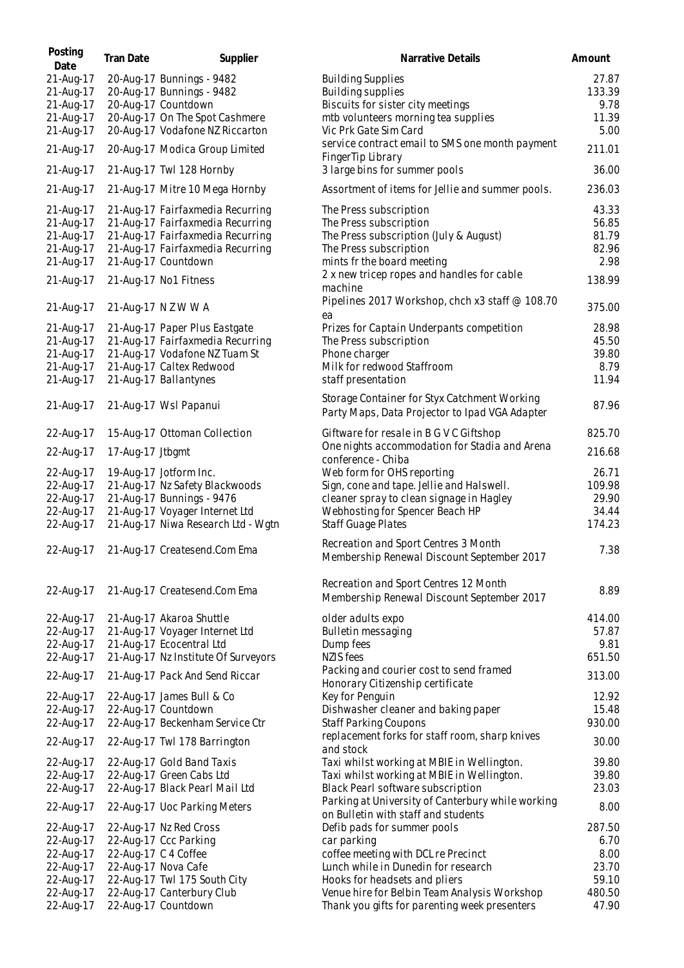| Posting<br>Date | <b>Tran Date</b> | Supplier                            | Narrative Details                                                                              | Amount |
|-----------------|------------------|-------------------------------------|------------------------------------------------------------------------------------------------|--------|
| 21-Aug-17       |                  | 20-Aug-17 Bunnings - 9482           | <b>Building Supplies</b>                                                                       | 27.87  |
| 21-Aug-17       |                  | 20-Aug-17 Bunnings - 9482           | Building supplies                                                                              | 133.39 |
| 21-Aug-17       |                  | 20-Aug-17 Countdown                 | Biscuits for sister city meetings                                                              | 9.78   |
| 21-Aug-17       |                  | 20-Aug-17 On The Spot Cashmere      | mtb volunteers morning tea supplies                                                            | 11.39  |
| 21-Aug-17       |                  | 20-Aug-17 Vodafone NZ Riccarton     | Vic Prk Gate Sim Card                                                                          | 5.00   |
| 21-Aug-17       |                  | 20-Aug-17 Modica Group Limited      | service contract email to SMS one month payment<br>FingerTip Library                           | 211.01 |
| 21-Aug-17       |                  | 21-Aug-17 Twl 128 Hornby            | 3 large bins for summer pools                                                                  | 36.00  |
| 21-Aug-17       |                  | 21-Aug-17 Mitre 10 Mega Hornby      | Assortment of items for Jellie and summer pools.                                               | 236.03 |
| 21-Aug-17       |                  | 21-Aug-17 Fairfaxmedia Recurring    | The Press subscription                                                                         | 43.33  |
| 21-Aug-17       |                  | 21-Aug-17 Fairfaxmedia Recurring    | The Press subscription                                                                         | 56.85  |
| 21-Aug-17       |                  | 21-Aug-17 Fairfaxmedia Recurring    | The Press subscription (July & August)                                                         | 81.79  |
| 21-Aug-17       |                  | 21-Aug-17 Fairfaxmedia Recurring    | The Press subscription                                                                         | 82.96  |
| 21-Aug-17       |                  | 21-Aug-17 Countdown                 | mints fr the board meeting                                                                     | 2.98   |
|                 |                  |                                     |                                                                                                |        |
| 21-Aug-17       |                  | 21-Aug-17 No1 Fitness               | 2 x new tricep ropes and handles for cable<br>machine                                          | 138.99 |
| 21-Aug-17       |                  | 21-Aug-17 N Z W W A                 | Pipelines 2017 Workshop, chch x3 staff @ 108.70<br>ea                                          | 375.00 |
| 21-Aug-17       |                  | 21-Aug-17 Paper Plus Eastgate       | Prizes for Captain Underpants competition                                                      | 28.98  |
| 21-Aug-17       |                  | 21-Aug-17 Fairfaxmedia Recurring    | The Press subscription                                                                         | 45.50  |
| 21-Aug-17       |                  | 21-Aug-17 Vodafone NZ Tuam St       | Phone charger                                                                                  | 39.80  |
| 21-Aug-17       |                  | 21-Aug-17 Caltex Redwood            | Milk for redwood Staffroom                                                                     | 8.79   |
| 21-Aug-17       |                  | 21-Aug-17 Ballantynes               | staff presentation                                                                             | 11.94  |
|                 |                  |                                     |                                                                                                |        |
| 21-Aug-17       |                  | 21-Aug-17 Wsl Papanui               | Storage Container for Styx Catchment Working<br>Party Maps, Data Projector to Ipad VGA Adapter | 87.96  |
| 22-Aug-17       |                  | 15-Aug-17 Ottoman Collection        | Giftware for resale in B G V C Giftshop                                                        | 825.70 |
| 22-Aug-17       | 17-Aug-17 Jtbgmt |                                     | One nights accommodation for Stadia and Arena<br>conference - Chiba                            | 216.68 |
| 22-Aug-17       |                  | 19-Aug-17 Jotform Inc.              | Web form for OHS reporting                                                                     | 26.71  |
| 22-Aug-17       |                  | 21-Aug-17 Nz Safety Blackwoods      | Sign, cone and tape. Jellie and Halswell.                                                      | 109.98 |
| 22-Aug-17       |                  | 21-Aug-17 Bunnings - 9476           | cleaner spray to clean signage in Hagley                                                       | 29.90  |
| 22-Aug-17       |                  | 21-Aug-17 Voyager Internet Ltd      | Webhosting for Spencer Beach HP                                                                | 34.44  |
| 22-Aug-17       |                  | 21-Aug-17 Niwa Research Ltd - Wgtn  | <b>Staff Guage Plates</b>                                                                      | 174.23 |
|                 |                  |                                     |                                                                                                |        |
| 22-Aug-17       |                  | 21-Aug-17 Createsend.Com Ema        | Recreation and Sport Centres 3 Month<br>Membership Renewal Discount September 2017             | 7.38   |
| 22-Aug-17       |                  | 21-Aug-17 Createsend.Com Ema        | Recreation and Sport Centres 12 Month                                                          | 8.89   |
|                 |                  |                                     | Membership Renewal Discount September 2017                                                     |        |
| 22-Aug-17       |                  | 21-Aug-17 Akaroa Shuttle            | older adults expo                                                                              | 414.00 |
| 22-Aug-17       |                  | 21-Aug-17 Voyager Internet Ltd      | Bulletin messaging                                                                             | 57.87  |
| 22-Aug-17       |                  | 21-Aug-17 Ecocentral Ltd            | Dump fees                                                                                      | 9.81   |
| 22-Aug-17       |                  | 21-Aug-17 Nz Institute Of Surveyors | <b>NZIS</b> fees                                                                               | 651.50 |
| 22-Aug-17       |                  | 21-Aug-17 Pack And Send Riccar      | Packing and courier cost to send framed<br>Honorary Citizenship certificate                    | 313.00 |
| 22-Aug-17       |                  | 22-Aug-17 James Bull & Co           | Key for Penguin                                                                                | 12.92  |
| 22-Aug-17       |                  | 22-Aug-17 Countdown                 | Dishwasher cleaner and baking paper                                                            | 15.48  |
| 22-Aug-17       |                  | 22-Aug-17 Beckenham Service Ctr     | <b>Staff Parking Coupons</b>                                                                   | 930.00 |
| 22-Aug-17       |                  | 22-Aug-17 Twl 178 Barrington        | replacement forks for staff room, sharp knives<br>and stock                                    | 30.00  |
| 22-Aug-17       |                  | 22-Aug-17 Gold Band Taxis           | Taxi whilst working at MBIE in Wellington.                                                     | 39.80  |
| 22-Aug-17       |                  | 22-Aug-17 Green Cabs Ltd            | Taxi whilst working at MBIE in Wellington.                                                     | 39.80  |
| 22-Aug-17       |                  | 22-Aug-17 Black Pearl Mail Ltd      | Black Pearl software subscription                                                              | 23.03  |
| 22-Aug-17       |                  | 22-Aug-17 Uoc Parking Meters        | Parking at University of Canterbury while working                                              | 8.00   |
|                 |                  |                                     | on Bulletin with staff and students                                                            |        |
| 22-Aug-17       |                  | 22-Aug-17 Nz Red Cross              | Defib pads for summer pools                                                                    | 287.50 |
| 22-Aug-17       |                  | 22-Aug-17 Ccc Parking               | car parking                                                                                    | 6.70   |
| 22-Aug-17       |                  | 22-Aug-17 C 4 Coffee                | coffee meeting with DCL re Precinct                                                            | 8.00   |
| 22-Aug-17       |                  | 22-Aug-17 Nova Cafe                 | Lunch while in Dunedin for research                                                            | 23.70  |
| 22-Aug-17       |                  | 22-Aug-17 Twl 175 South City        | Hooks for headsets and pliers                                                                  | 59.10  |
| 22-Aug-17       |                  | 22-Aug-17 Canterbury Club           | Venue hire for Belbin Team Analysis Workshop                                                   | 480.50 |
| 22-Aug-17       |                  | 22-Aug-17 Countdown                 | Thank you gifts for parenting week presenters                                                  | 47.90  |